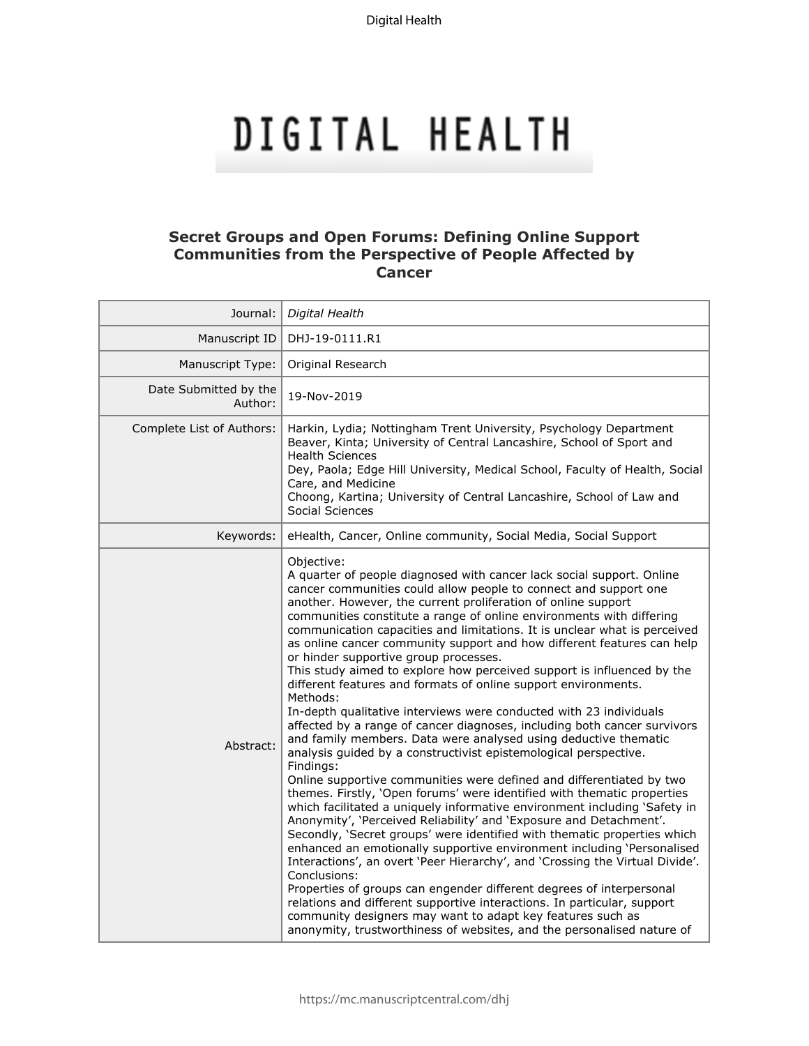# DIGITAL HEALTH

# **Secret Groups and Open Forums: Defining Online Support Communities from the Perspective of People Affected by Cancer**

| Journal:                         | Digital Health                                                                                                                                                                                                                                                                                                                                                                                                                                                                                                                                                                                                                                                                                                                                                                                                                                                                                                                                                                                                                                                                                                                                                                                                                                                                                                                                                                                                                                                                                                                                                                                                                                                                                                                                                                                                        |
|----------------------------------|-----------------------------------------------------------------------------------------------------------------------------------------------------------------------------------------------------------------------------------------------------------------------------------------------------------------------------------------------------------------------------------------------------------------------------------------------------------------------------------------------------------------------------------------------------------------------------------------------------------------------------------------------------------------------------------------------------------------------------------------------------------------------------------------------------------------------------------------------------------------------------------------------------------------------------------------------------------------------------------------------------------------------------------------------------------------------------------------------------------------------------------------------------------------------------------------------------------------------------------------------------------------------------------------------------------------------------------------------------------------------------------------------------------------------------------------------------------------------------------------------------------------------------------------------------------------------------------------------------------------------------------------------------------------------------------------------------------------------------------------------------------------------------------------------------------------------|
| Manuscript ID                    | DHJ-19-0111.R1                                                                                                                                                                                                                                                                                                                                                                                                                                                                                                                                                                                                                                                                                                                                                                                                                                                                                                                                                                                                                                                                                                                                                                                                                                                                                                                                                                                                                                                                                                                                                                                                                                                                                                                                                                                                        |
| Manuscript Type:                 | Original Research                                                                                                                                                                                                                                                                                                                                                                                                                                                                                                                                                                                                                                                                                                                                                                                                                                                                                                                                                                                                                                                                                                                                                                                                                                                                                                                                                                                                                                                                                                                                                                                                                                                                                                                                                                                                     |
| Date Submitted by the<br>Author: | 19-Nov-2019                                                                                                                                                                                                                                                                                                                                                                                                                                                                                                                                                                                                                                                                                                                                                                                                                                                                                                                                                                                                                                                                                                                                                                                                                                                                                                                                                                                                                                                                                                                                                                                                                                                                                                                                                                                                           |
| Complete List of Authors:        | Harkin, Lydia; Nottingham Trent University, Psychology Department<br>Beaver, Kinta; University of Central Lancashire, School of Sport and<br><b>Health Sciences</b><br>Dey, Paola; Edge Hill University, Medical School, Faculty of Health, Social<br>Care, and Medicine<br>Choong, Kartina; University of Central Lancashire, School of Law and<br>Social Sciences                                                                                                                                                                                                                                                                                                                                                                                                                                                                                                                                                                                                                                                                                                                                                                                                                                                                                                                                                                                                                                                                                                                                                                                                                                                                                                                                                                                                                                                   |
| Keywords:                        | eHealth, Cancer, Online community, Social Media, Social Support                                                                                                                                                                                                                                                                                                                                                                                                                                                                                                                                                                                                                                                                                                                                                                                                                                                                                                                                                                                                                                                                                                                                                                                                                                                                                                                                                                                                                                                                                                                                                                                                                                                                                                                                                       |
| Abstract:                        | Objective:<br>A quarter of people diagnosed with cancer lack social support. Online<br>cancer communities could allow people to connect and support one<br>another. However, the current proliferation of online support<br>communities constitute a range of online environments with differing<br>communication capacities and limitations. It is unclear what is perceived<br>as online cancer community support and how different features can help<br>or hinder supportive group processes.<br>This study aimed to explore how perceived support is influenced by the<br>different features and formats of online support environments.<br>Methods:<br>In-depth qualitative interviews were conducted with 23 individuals<br>affected by a range of cancer diagnoses, including both cancer survivors<br>and family members. Data were analysed using deductive thematic<br>analysis guided by a constructivist epistemological perspective.<br>Findings:<br>Online supportive communities were defined and differentiated by two<br>themes. Firstly, 'Open forums' were identified with thematic properties<br>which facilitated a uniquely informative environment including 'Safety in<br>Anonymity', 'Perceived Reliability' and 'Exposure and Detachment'.<br>Secondly, 'Secret groups' were identified with thematic properties which<br>enhanced an emotionally supportive environment including 'Personalised<br>Interactions', an overt 'Peer Hierarchy', and 'Crossing the Virtual Divide'.<br>Conclusions:<br>Properties of groups can engender different degrees of interpersonal<br>relations and different supportive interactions. In particular, support<br>community designers may want to adapt key features such as<br>anonymity, trustworthiness of websites, and the personalised nature of |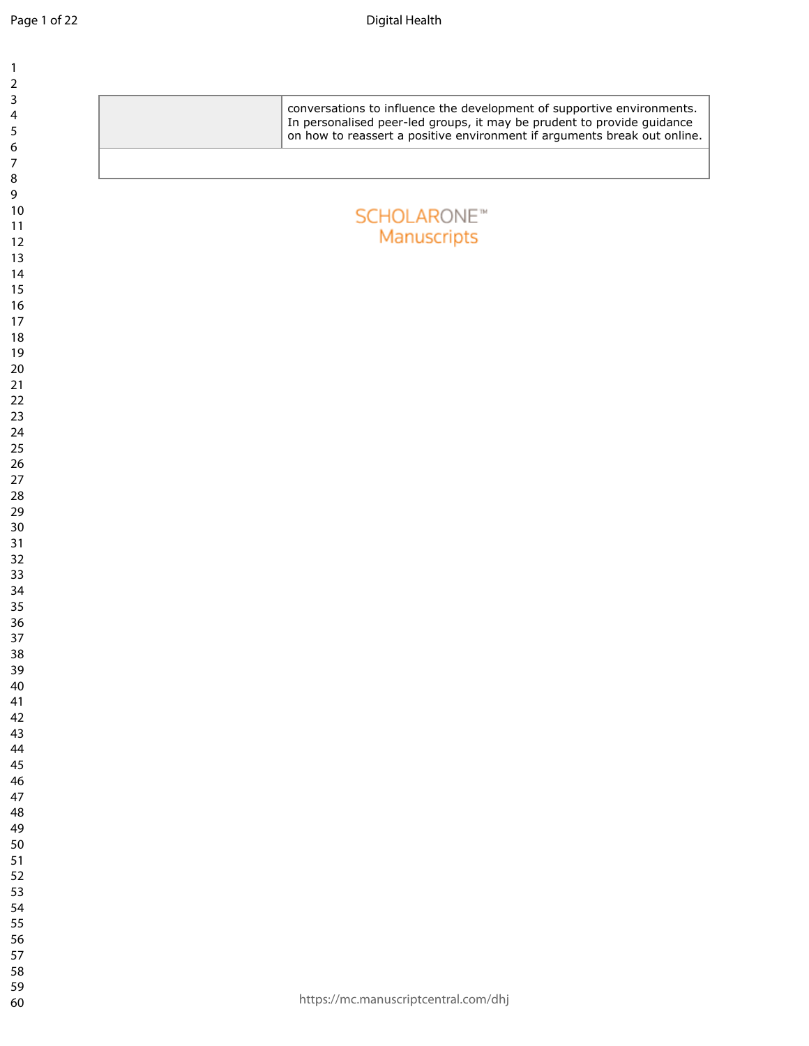| $\mathbf{1}$<br>$\mathbf 2$        |                                                                                                                                                                                                                              |
|------------------------------------|------------------------------------------------------------------------------------------------------------------------------------------------------------------------------------------------------------------------------|
| 3<br>$\overline{\mathbf{4}}$<br>5  | conversations to influence the development of supportive environments.<br>In personalised peer-led groups, it may be prudent to provide guidance<br>on how to reassert a positive environment if arguments break out online. |
| $\boldsymbol{6}$<br>$\overline{7}$ |                                                                                                                                                                                                                              |
| $\,8\,$<br>9                       |                                                                                                                                                                                                                              |
| 10<br>$11$                         | <b>SCHOLARONE™</b>                                                                                                                                                                                                           |
| 12<br>13                           | Manuscripts                                                                                                                                                                                                                  |
| 14<br>15                           |                                                                                                                                                                                                                              |
| 16                                 |                                                                                                                                                                                                                              |
| 17<br>18                           |                                                                                                                                                                                                                              |
| 19<br>20                           |                                                                                                                                                                                                                              |
| 21<br>22                           |                                                                                                                                                                                                                              |
| 23<br>24                           |                                                                                                                                                                                                                              |
| 25<br>26                           |                                                                                                                                                                                                                              |
| 27                                 |                                                                                                                                                                                                                              |
| 28<br>29                           |                                                                                                                                                                                                                              |
| 30<br>31                           |                                                                                                                                                                                                                              |
| 32<br>33                           |                                                                                                                                                                                                                              |
| 34<br>35                           |                                                                                                                                                                                                                              |
| 36<br>37                           |                                                                                                                                                                                                                              |
| $38\,$                             |                                                                                                                                                                                                                              |
| 39<br>40                           |                                                                                                                                                                                                                              |
| 41<br>42                           |                                                                                                                                                                                                                              |
| 43<br>44                           |                                                                                                                                                                                                                              |
| 45<br>46                           |                                                                                                                                                                                                                              |
| 47<br>48                           |                                                                                                                                                                                                                              |
| 49                                 |                                                                                                                                                                                                                              |
| 50<br>51                           |                                                                                                                                                                                                                              |
| 52<br>53                           |                                                                                                                                                                                                                              |
| 54<br>55                           |                                                                                                                                                                                                                              |
| 56<br>57                           |                                                                                                                                                                                                                              |
| 58                                 |                                                                                                                                                                                                                              |
| 59<br>60                           | https://mc.manuscriptcentral.com/dhj                                                                                                                                                                                         |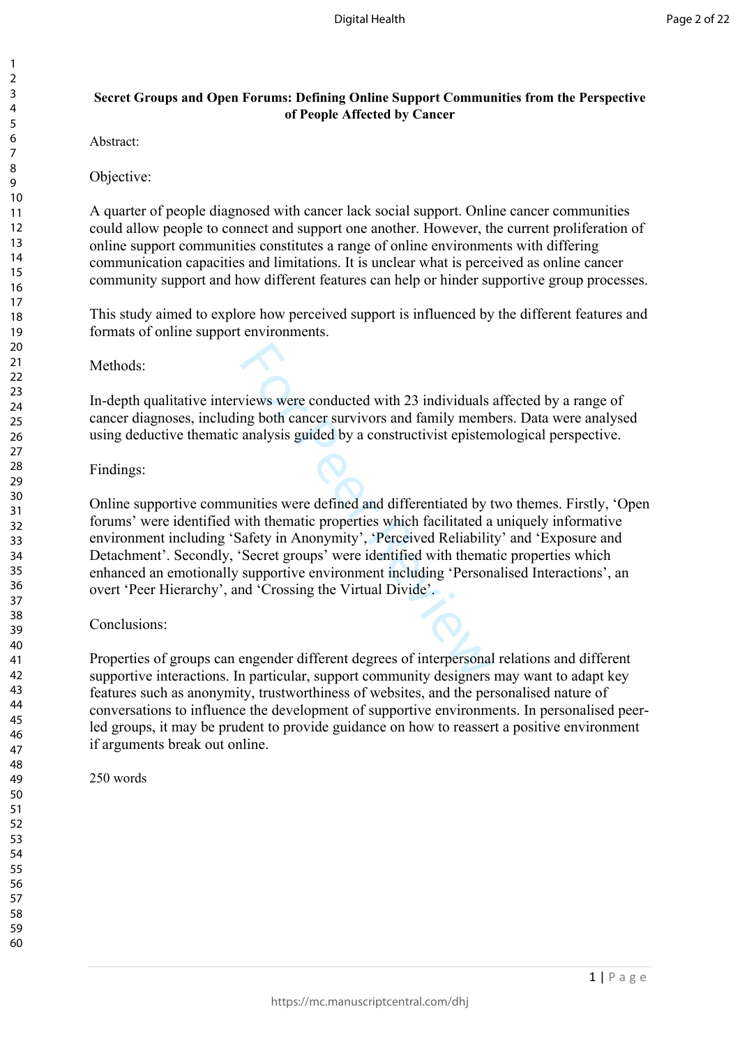# **Secret Groups and Open Forums: Defining Online Support Communities from the Perspective of People Affected by Cancer**

Abstract:

Objective:

A quarter of people diagnosed with cancer lack social support. Online cancer communities could allow people to connect and support one another. However, the current proliferation of online support communities constitutes a range of online environments with differing communication capacities and limitations. It is unclear what is perceived as online cancer community support and how different features can help or hinder supportive group processes.

This study aimed to explore how perceived support is influenced by the different features and formats of online support environments.

Methods:

In-depth qualitative interviews were conducted with 23 individuals affected by a range of cancer diagnoses, including both cancer survivors and family members. Data were analysed using deductive thematic analysis guided by a constructivist epistemological perspective.

## Findings:

views were conducted with 23 individuals<br>ng both cancer survivors and family memh<br>analysis guided by a constructivist episten<br>nanalysis guided by a constructivist episten<br>unities were defined and differentiated by vith the Online supportive communities were defined and differentiated by two themes. Firstly, 'Open forums' were identified with thematic properties which facilitated a uniquely informative environment including 'Safety in Anonymity', 'Perceived Reliability' and 'Exposure and Detachment'. Secondly, 'Secret groups' were identified with thematic properties which enhanced an emotionally supportive environment including 'Personalised Interactions', an overt 'Peer Hierarchy', and 'Crossing the Virtual Divide'.

# Conclusions:

Properties of groups can engender different degrees of interpersonal relations and different supportive interactions. In particular, support community designers may want to adapt key features such as anonymity, trustworthiness of websites, and the personalised nature of conversations to influence the development of supportive environments. In personalised peerled groups, it may be prudent to provide guidance on how to reassert a positive environment if arguments break out online.

250 words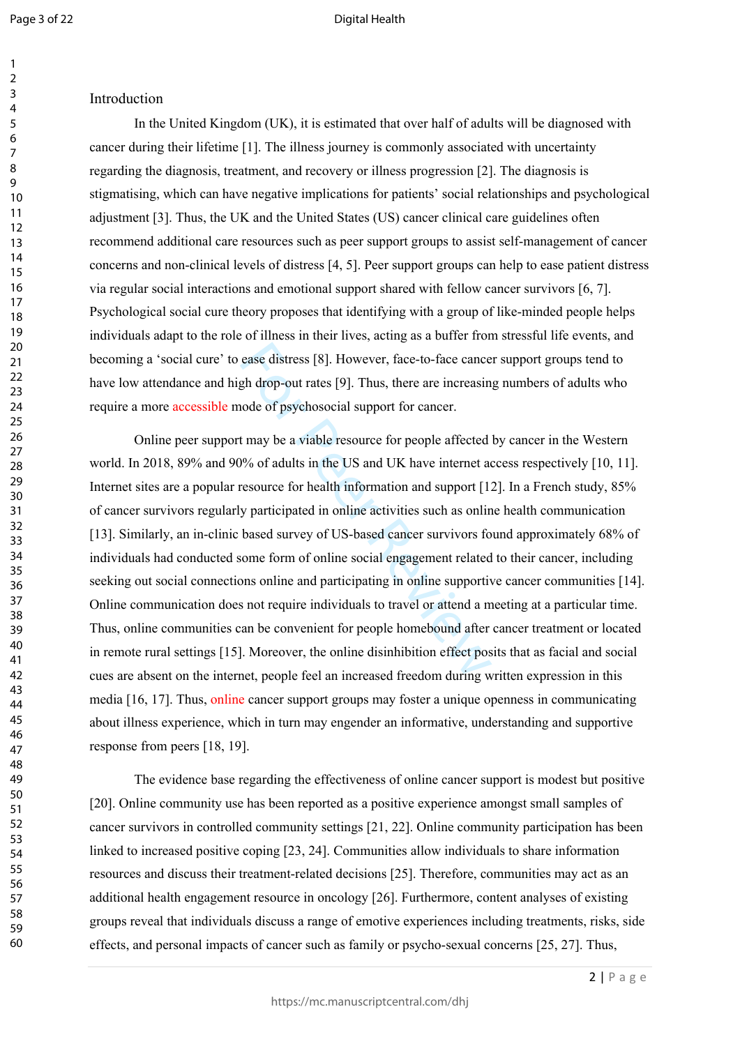## Introduction

In the United Kingdom (UK), it is estimated that over half of adults will be diagnosed with cancer during their lifetime [1]. The illness journey is commonly associated with uncertainty regarding the diagnosis, treatment, and recovery or illness progression [2]. The diagnosis is stigmatising, which can have negative implications for patients' social relationships and psychological adjustment [3]. Thus, the UK and the United States (US) cancer clinical care guidelines often recommend additional care resources such as peer support groups to assist self-management of cancer concerns and non-clinical levels of distress [4, 5]. Peer support groups can help to ease patient distress via regular social interactions and emotional support shared with fellow cancer survivors [6, 7]. Psychological social cure theory proposes that identifying with a group of like-minded people helps individuals adapt to the role of illness in their lives, acting as a buffer from stressful life events, and becoming a 'social cure' to ease distress [8]. However, face-to-face cancer support groups tend to have low attendance and high drop-out rates [9]. Thus, there are increasing numbers of adults who require a more accessible mode of psychosocial support for cancer.

ease distress [8]. However, face-to-face cance<br>gh drop-out rates [9]. Thus, there are increasin<br>node of psychosocial support for cancer.<br>t may be a viable resource for people affected<br>9% of adults in the US and UK have int Online peer support may be a viable resource for people affected by cancer in the Western world. In 2018, 89% and 90% of adults in the US and UK have internet access respectively [10, 11]. Internet sites are a popular resource for health information and support [12]. In a French study, 85% of cancer survivors regularly participated in online activities such as online health communication [13]. Similarly, an in-clinic based survey of US-based cancer survivors found approximately 68% of individuals had conducted some form of online social engagement related to their cancer, including seeking out social connections online and participating in online supportive cancer communities [14]. Online communication does not require individuals to travel or attend a meeting at a particular time. Thus, online communities can be convenient for people homebound after cancer treatment or located in remote rural settings [15]. Moreover, the online disinhibition effect posits that as facial and social cues are absent on the internet, people feel an increased freedom during written expression in this media [16, 17]. Thus, online cancer support groups may foster a unique openness in communicating about illness experience, which in turn may engender an informative, understanding and supportive response from peers [18, 19].

The evidence base regarding the effectiveness of online cancer support is modest but positive [20]. Online community use has been reported as a positive experience amongst small samples of cancer survivors in controlled community settings [21, 22]. Online community participation has been linked to increased positive coping [23, 24]. Communities allow individuals to share information resources and discuss their treatment-related decisions [25]. Therefore, communities may act as an additional health engagement resource in oncology [26]. Furthermore, content analyses of existing groups reveal that individuals discuss a range of emotive experiences including treatments, risks, side effects, and personal impacts of cancer such as family or psycho-sexual concerns [25, 27]. Thus,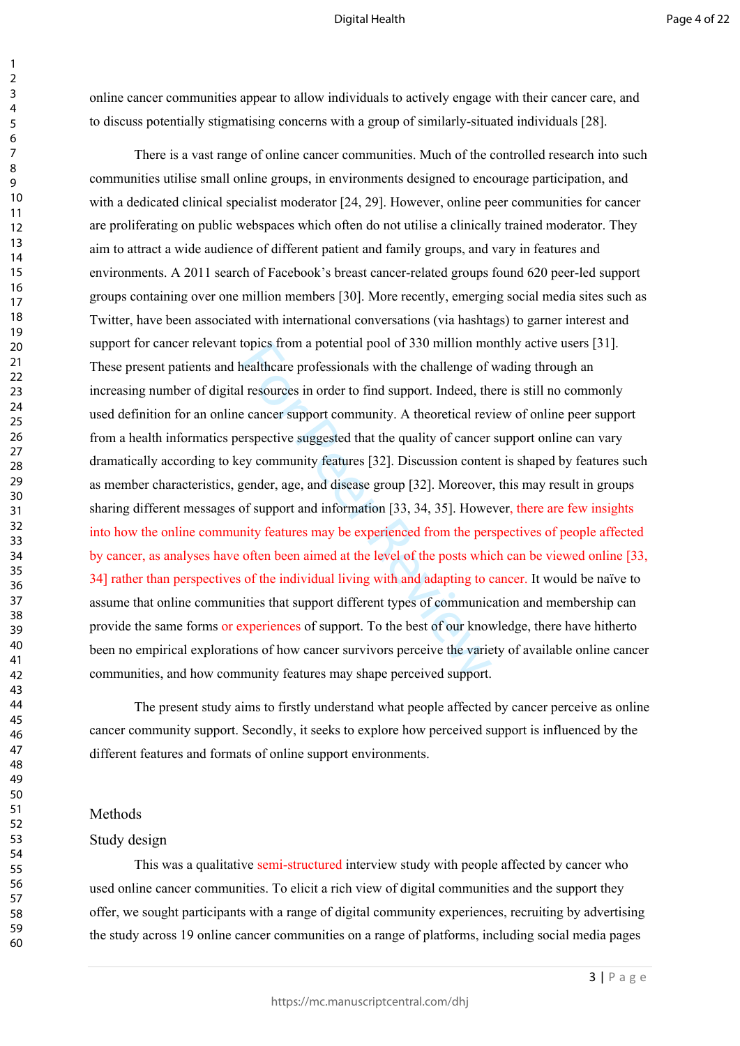online cancer communities appear to allow individuals to actively engage with their cancer care, and to discuss potentially stigmatising concerns with a group of similarly-situated individuals [28].

topics from a potential pool of 350 million mo<br>healthcare professionals with the challenge of<br>1 resources in order to find support. Indeed, the<br>e cancer support community. A theoretical rev<br>erspective suggested that the qu There is a vast range of online cancer communities. Much of the controlled research into such communities utilise small online groups, in environments designed to encourage participation, and with a dedicated clinical specialist moderator [24, 29]. However, online peer communities for cancer are proliferating on public webspaces which often do not utilise a clinically trained moderator. They aim to attract a wide audience of different patient and family groups, and vary in features and environments. A 2011 search of Facebook's breast cancer-related groups found 620 peer-led support groups containing over one million members [30]. More recently, emerging social media sites such as Twitter, have been associated with international conversations (via hashtags) to garner interest and support for cancer relevant topics from a potential pool of 330 million monthly active users [31]. These present patients and healthcare professionals with the challenge of wading through an increasing number of digital resources in order to find support. Indeed, there is still no commonly used definition for an online cancer support community. A theoretical review of online peer support from a health informatics perspective suggested that the quality of cancer support online can vary dramatically according to key community features [32]. Discussion content is shaped by features such as member characteristics, gender, age, and disease group [32]. Moreover, this may result in groups sharing different messages of support and information [33, 34, 35]. However, there are few insights into how the online community features may be experienced from the perspectives of people affected by cancer, as analyses have often been aimed at the level of the posts which can be viewed online [33, 34] rather than perspectives of the individual living with and adapting to cancer. It would be naïve to assume that online communities that support different types of communication and membership can provide the same forms or experiences of support. To the best of our knowledge, there have hitherto been no empirical explorations of how cancer survivors perceive the variety of available online cancer communities, and how community features may shape perceived support.

The present study aims to firstly understand what people affected by cancer perceive as online cancer community support. Secondly, it seeks to explore how perceived support is influenced by the different features and formats of online support environments.

#### Methods

#### Study design

This was a qualitative semi-structured interview study with people affected by cancer who used online cancer communities. To elicit a rich view of digital communities and the support they offer, we sought participants with a range of digital community experiences, recruiting by advertising the study across 19 online cancer communities on a range of platforms, including social media pages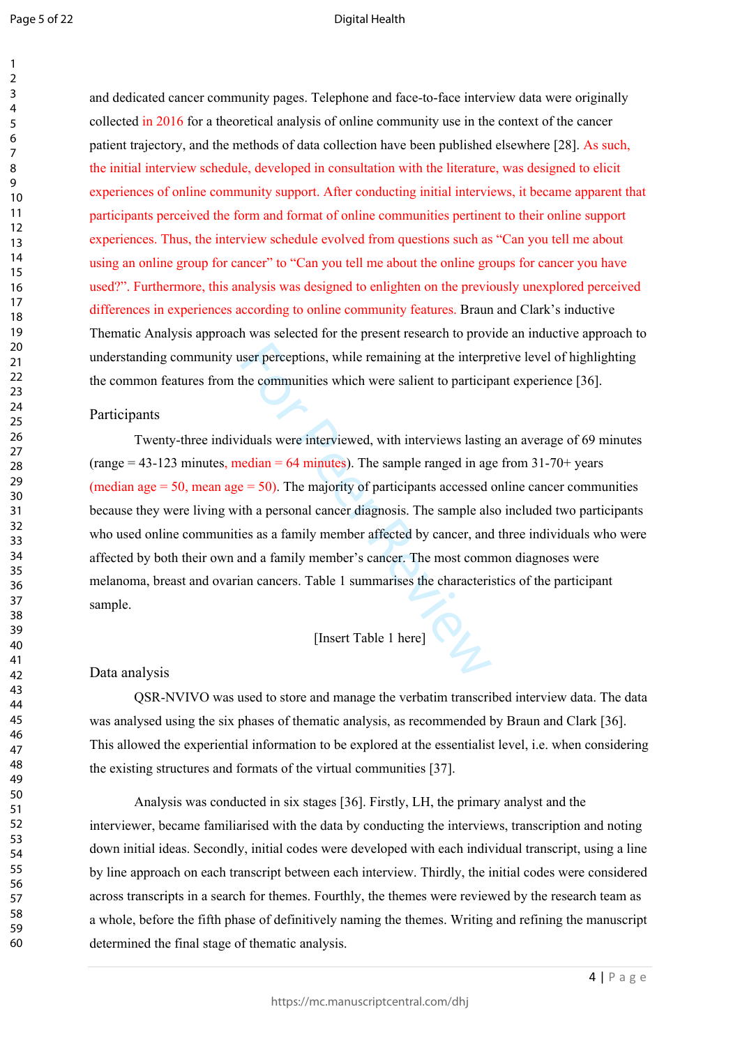$\mathbf{1}$ 

#### Digital Health

60

and dedicated cancer community pages. Telephone and face-to-face interview data were originally collected in 2016 for a theoretical analysis of online community use in the context of the cancer patient trajectory, and the methods of data collection have been published elsewhere [28]. As such, the initial interview schedule, developed in consultation with the literature, was designed to elicit experiences of online community support. After conducting initial interviews, it became apparent that participants perceived the form and format of online communities pertinent to their online support experiences. Thus, the interview schedule evolved from questions such as "Can you tell me about using an online group for cancer" to "Can you tell me about the online groups for cancer you have used?". Furthermore, this analysis was designed to enlighten on the previously unexplored perceived differences in experiences according to online community features. Braun and Clark's inductive Thematic Analysis approach was selected for the present research to provide an inductive approach to understanding community user perceptions, while remaining at the interpretive level of highlighting the common features from the communities which were salient to participant experience [36].

## Participants

state perceptions, while remaining at the interpretion-<br>the communities which were salient to particip<br>iduals were interviewed, with interviews lastin-<br>redian = 64 minutes). The sample ranged in ag<br>e = 50). The majority of Twenty-three individuals were interviewed, with interviews lasting an average of 69 minutes  $(\text{range} = 43 - 123 \text{ minutes}, \text{median} = 64 \text{ minutes})$ . The sample ranged in age from 31-70+ years (median age  $= 50$ , mean age  $= 50$ ). The majority of participants accessed online cancer communities because they were living with a personal cancer diagnosis. The sample also included two participants who used online communities as a family member affected by cancer, and three individuals who were affected by both their own and a family member's cancer. The most common diagnoses were melanoma, breast and ovarian cancers. Table 1 summarises the characteristics of the participant sample.

## [Insert Table 1 here]

## Data analysis

QSR-NVIVO was used to store and manage the verbatim transcribed interview data. The data was analysed using the six phases of thematic analysis, as recommended by Braun and Clark [36]. This allowed the experiential information to be explored at the essentialist level, i.e. when considering the existing structures and formats of the virtual communities [37].

Analysis was conducted in six stages [36]. Firstly, LH, the primary analyst and the interviewer, became familiarised with the data by conducting the interviews, transcription and noting down initial ideas. Secondly, initial codes were developed with each individual transcript, using a line by line approach on each transcript between each interview. Thirdly, the initial codes were considered across transcripts in a search for themes. Fourthly, the themes were reviewed by the research team as a whole, before the fifth phase of definitively naming the themes. Writing and refining the manuscript determined the final stage of thematic analysis.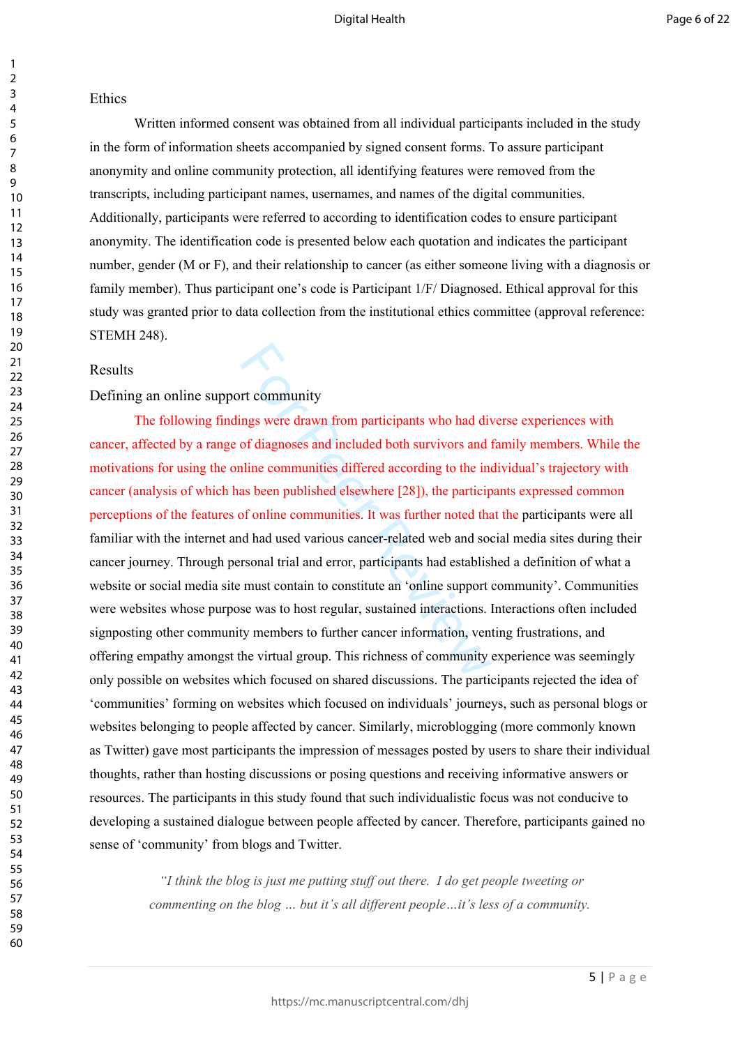#### Ethics

Written informed consent was obtained from all individual participants included in the study in the form of information sheets accompanied by signed consent forms. To assure participant anonymity and online community protection, all identifying features were removed from the transcripts, including participant names, usernames, and names of the digital communities. Additionally, participants were referred to according to identification codes to ensure participant anonymity. The identification code is presented below each quotation and indicates the participant number, gender (M or F), and their relationship to cancer (as either someone living with a diagnosis or family member). Thus participant one's code is Participant 1/F/ Diagnosed. Ethical approval for this study was granted prior to data collection from the institutional ethics committee (approval reference: STEMH 248).

#### Results

## Defining an online support community

rt community<br>or the community<br>of diagnoses and included both survivors and div<br>of diagnoses and included both survivors and<br>aline communities differed according to the ine<br>as been published elsewhere [28]), the particip<br>of The following findings were drawn from participants who had diverse experiences with cancer, affected by a range of diagnoses and included both survivors and family members. While the motivations for using the online communities differed according to the individual's trajectory with cancer (analysis of which has been published elsewhere [28]), the participants expressed common perceptions of the features of online communities. It was further noted that the participants were all familiar with the internet and had used various cancer-related web and social media sites during their cancer journey. Through personal trial and error, participants had established a definition of what a website or social media site must contain to constitute an 'online support community'. Communities were websites whose purpose was to host regular, sustained interactions. Interactions often included signposting other community members to further cancer information, venting frustrations, and offering empathy amongst the virtual group. This richness of community experience was seemingly only possible on websites which focused on shared discussions. The participants rejected the idea of 'communities' forming on websites which focused on individuals' journeys, such as personal blogs or websites belonging to people affected by cancer. Similarly, microblogging (more commonly known as Twitter) gave most participants the impression of messages posted by users to share their individual thoughts, rather than hosting discussions or posing questions and receiving informative answers or resources. The participants in this study found that such individualistic focus was not conducive to developing a sustained dialogue between people affected by cancer. Therefore, participants gained no sense of 'community' from blogs and Twitter.

> *"I think the blog is just me putting stuff out there. I do get people tweeting or commenting on the blog … but it's all different people…it's less of a community.*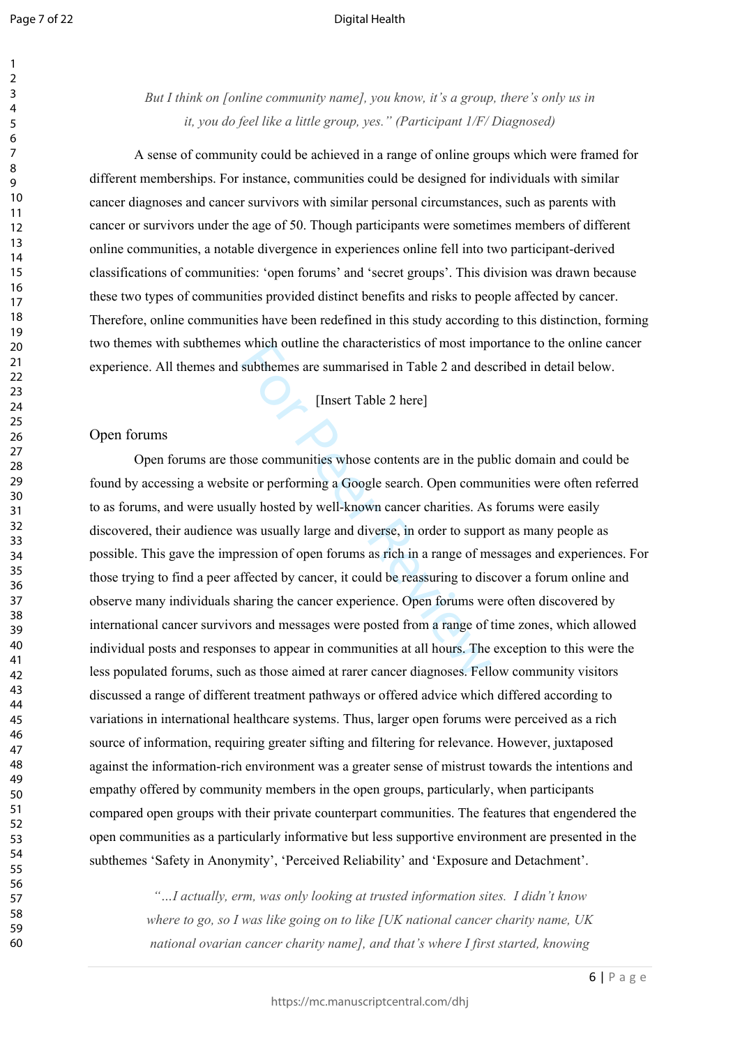*But I think on [online community name], you know, it's a group, there's only us in it, you do feel like a little group, yes." (Participant 1/F/ Diagnosed)* 

A sense of community could be achieved in a range of online groups which were framed for different memberships. For instance, communities could be designed for individuals with similar cancer diagnoses and cancer survivors with similar personal circumstances, such as parents with cancer or survivors under the age of 50. Though participants were sometimes members of different online communities, a notable divergence in experiences online fell into two participant-derived classifications of communities: 'open forums' and 'secret groups'. This division was drawn because these two types of communities provided distinct benefits and risks to people affected by cancer. Therefore, online communities have been redefined in this study according to this distinction, forming two themes with subthemes which outline the characteristics of most importance to the online cancer experience. All themes and subthemes are summarised in Table 2 and described in detail below.

[Insert Table 2 here]

## Open forums

For Which dutine the characteristics of most important<br>subthemes are summarised in Table 2 and des<br>[Insert Table 2 here]<br>ose communities whose contents are in the pu<br>te or performing a Google search. Open comm<br>lly hosted b Open forums are those communities whose contents are in the public domain and could be found by accessing a website or performing a Google search. Open communities were often referred to as forums, and were usually hosted by well-known cancer charities. As forums were easily discovered, their audience was usually large and diverse, in order to support as many people as possible. This gave the impression of open forums as rich in a range of messages and experiences. For those trying to find a peer affected by cancer, it could be reassuring to discover a forum online and observe many individuals sharing the cancer experience. Open forums were often discovered by international cancer survivors and messages were posted from a range of time zones, which allowed individual posts and responses to appear in communities at all hours. The exception to this were the less populated forums, such as those aimed at rarer cancer diagnoses. Fellow community visitors discussed a range of different treatment pathways or offered advice which differed according to variations in international healthcare systems. Thus, larger open forums were perceived as a rich source of information, requiring greater sifting and filtering for relevance. However, juxtaposed against the information-rich environment was a greater sense of mistrust towards the intentions and empathy offered by community members in the open groups, particularly, when participants compared open groups with their private counterpart communities. The features that engendered the open communities as a particularly informative but less supportive environment are presented in the subthemes 'Safety in Anonymity', 'Perceived Reliability' and 'Exposure and Detachment'.

> *"…I actually, erm, was only looking at trusted information sites. I didn't know where to go, so I was like going on to like [UK national cancer charity name, UK national ovarian cancer charity name], and that's where I first started, knowing*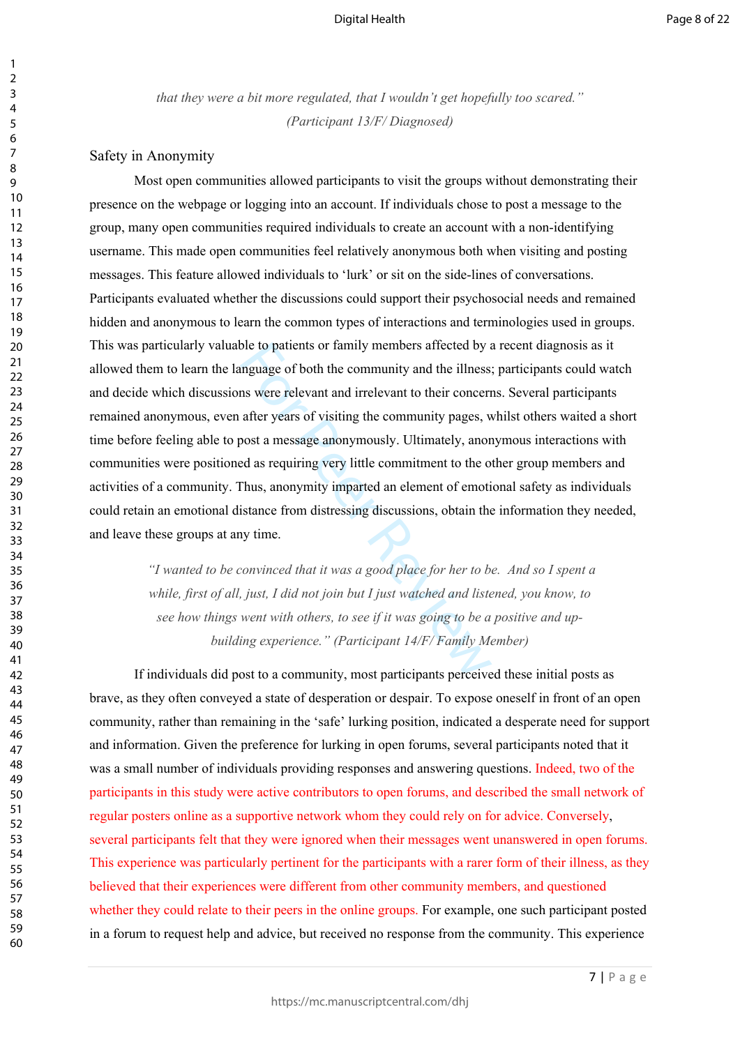*that they were a bit more regulated, that I wouldn't get hopefully too scared." (Participant 13/F/ Diagnosed)*

## Safety in Anonymity

ble to patients or family members affected by anguage of both the community and the illness<br>ms were relevant and irrelevant to their concern<br>after years of visiting the community pages, v<br>post a message anonymously. Ultima Most open communities allowed participants to visit the groups without demonstrating their presence on the webpage or logging into an account. If individuals chose to post a message to the group, many open communities required individuals to create an account with a non-identifying username. This made open communities feel relatively anonymous both when visiting and posting messages. This feature allowed individuals to 'lurk' or sit on the side-lines of conversations. Participants evaluated whether the discussions could support their psychosocial needs and remained hidden and anonymous to learn the common types of interactions and terminologies used in groups. This was particularly valuable to patients or family members affected by a recent diagnosis as it allowed them to learn the language of both the community and the illness; participants could watch and decide which discussions were relevant and irrelevant to their concerns. Several participants remained anonymous, even after years of visiting the community pages, whilst others waited a short time before feeling able to post a message anonymously. Ultimately, anonymous interactions with communities were positioned as requiring very little commitment to the other group members and activities of a community. Thus, anonymity imparted an element of emotional safety as individuals could retain an emotional distance from distressing discussions, obtain the information they needed, and leave these groups at any time.

 *"I wanted to be convinced that it was a good place for her to be. And so I spent a while, first of all, just, I did not join but I just watched and listened, you know, to see how things went with others, to see if it was going to be a positive and upbuilding experience." (Participant 14/F/ Family Member)*

If individuals did post to a community, most participants perceived these initial posts as brave, as they often conveyed a state of desperation or despair. To expose oneself in front of an open community, rather than remaining in the 'safe' lurking position, indicated a desperate need for support and information. Given the preference for lurking in open forums, several participants noted that it was a small number of individuals providing responses and answering questions. Indeed, two of the participants in this study were active contributors to open forums, and described the small network of regular posters online as a supportive network whom they could rely on for advice. Conversely, several participants felt that they were ignored when their messages went unanswered in open forums. This experience was particularly pertinent for the participants with a rarer form of their illness, as they believed that their experiences were different from other community members, and questioned whether they could relate to their peers in the online groups. For example, one such participant posted in a forum to request help and advice, but received no response from the community. This experience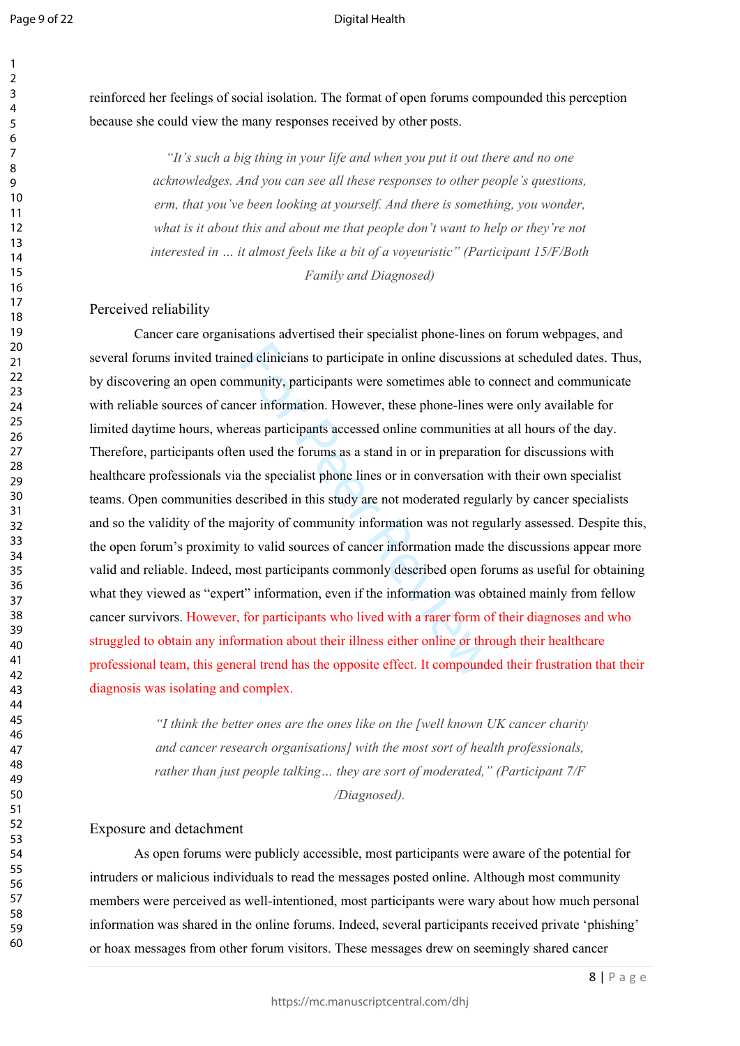$\mathbf{1}$ 

#### Digital Health

60

reinforced her feelings of social isolation. The format of open forums compounded this perception because she could view the many responses received by other posts.

> *"It's such a big thing in your life and when you put it out there and no one acknowledges. And you can see all these responses to other people's questions, erm, that you've been looking at yourself. And there is something, you wonder, what is it about this and about me that people don't want to help or they're not interested in … it almost feels like a bit of a voyeuristic" (Participant 15/F/Both Family and Diagnosed)*

## Perceived reliability

ed clinicians to participate in online discussion<br>invinity, participants were sometimes able to core information. However, these phone-lines v<br>reas participants accessed online communities<br>n used the forums as a stand in o Cancer care organisations advertised their specialist phone-lines on forum webpages, and several forums invited trained clinicians to participate in online discussions at scheduled dates. Thus, by discovering an open community, participants were sometimes able to connect and communicate with reliable sources of cancer information. However, these phone-lines were only available for limited daytime hours, whereas participants accessed online communities at all hours of the day. Therefore, participants often used the forums as a stand in or in preparation for discussions with healthcare professionals via the specialist phone lines or in conversation with their own specialist teams. Open communities described in this study are not moderated regularly by cancer specialists and so the validity of the majority of community information was not regularly assessed. Despite this, the open forum's proximity to valid sources of cancer information made the discussions appear more valid and reliable. Indeed, most participants commonly described open forums as useful for obtaining what they viewed as "expert" information, even if the information was obtained mainly from fellow cancer survivors. However, for participants who lived with a rarer form of their diagnoses and who struggled to obtain any information about their illness either online or through their healthcare professional team, this general trend has the opposite effect. It compounded their frustration that their diagnosis was isolating and complex.

> *"I think the better ones are the ones like on the [well known UK cancer charity and cancer research organisations] with the most sort of health professionals, rather than just people talking… they are sort of moderated," (Participant 7/F /Diagnosed).*

## Exposure and detachment

As open forums were publicly accessible, most participants were aware of the potential for intruders or malicious individuals to read the messages posted online. Although most community members were perceived as well-intentioned, most participants were wary about how much personal information was shared in the online forums. Indeed, several participants received private 'phishing' or hoax messages from other forum visitors. These messages drew on seemingly shared cancer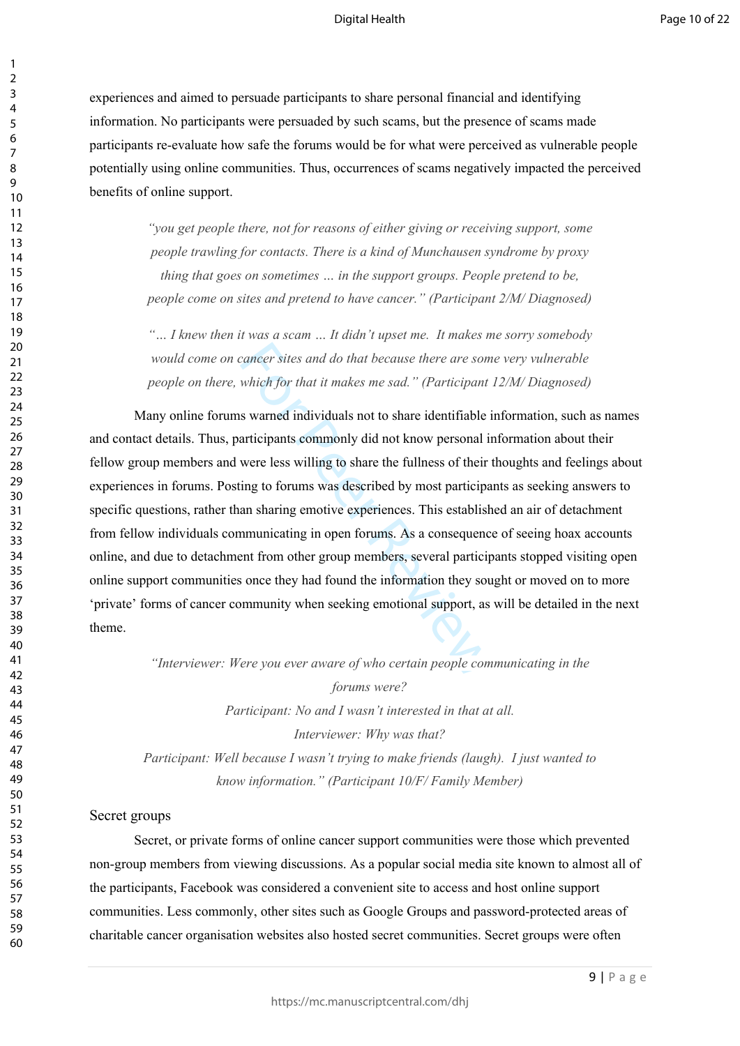experiences and aimed to persuade participants to share personal financial and identifying information. No participants were persuaded by such scams, but the presence of scams made participants re-evaluate how safe the forums would be for what were perceived as vulnerable people potentially using online communities. Thus, occurrences of scams negatively impacted the perceived benefits of online support.

> *"you get people there, not for reasons of either giving or receiving support, some people trawling for contacts. There is a kind of Munchausen syndrome by proxy thing that goes on sometimes … in the support groups. People pretend to be, people come on sites and pretend to have cancer." (Participant 2/M/ Diagnosed)*

> *"… I knew then it was a scam … It didn't upset me. It makes me sorry somebody would come on cancer sites and do that because there are some very vulnerable people on there, which for that it makes me sad." (Participant 12/M/ Diagnosed)*

cancer sites and do that because there are som<br>which for that it makes me sad." (Participant<br>s warned individuals not to share identifiable i<br>articipants commonly did not know personal is<br>were less willing to share the ful Many online forums warned individuals not to share identifiable information, such as names and contact details. Thus, participants commonly did not know personal information about their fellow group members and were less willing to share the fullness of their thoughts and feelings about experiences in forums. Posting to forums was described by most participants as seeking answers to specific questions, rather than sharing emotive experiences. This established an air of detachment from fellow individuals communicating in open forums. As a consequence of seeing hoax accounts online, and due to detachment from other group members, several participants stopped visiting open online support communities once they had found the information they sought or moved on to more 'private' forms of cancer community when seeking emotional support, as will be detailed in the next theme.

*"Interviewer: Were you ever aware of who certain people communicating in the* 

*forums were? Participant: No and I wasn't interested in that at all. Interviewer: Why was that? Participant: Well because I wasn't trying to make friends (laugh). I just wanted to know information." (Participant 10/F/ Family Member)* 

#### Secret groups

Secret, or private forms of online cancer support communities were those which prevented non-group members from viewing discussions. As a popular social media site known to almost all of the participants, Facebook was considered a convenient site to access and host online support communities. Less commonly, other sites such as Google Groups and password-protected areas of charitable cancer organisation websites also hosted secret communities. Secret groups were often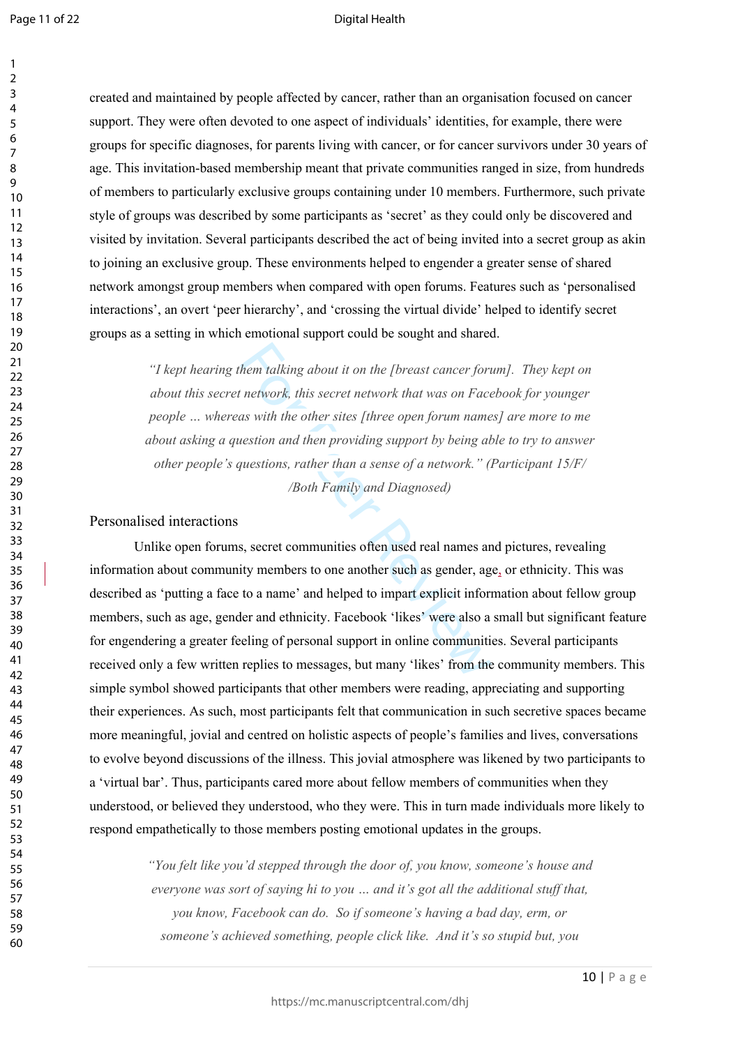60

created and maintained by people affected by cancer, rather than an organisation focused on cancer support. They were often devoted to one aspect of individuals' identities, for example, there were groups for specific diagnoses, for parents living with cancer, or for cancer survivors under 30 years of age. This invitation-based membership meant that private communities ranged in size, from hundreds of members to particularly exclusive groups containing under 10 members. Furthermore, such private style of groups was described by some participants as 'secret' as they could only be discovered and visited by invitation. Several participants described the act of being invited into a secret group as akin to joining an exclusive group. These environments helped to engender a greater sense of shared network amongst group members when compared with open forums. Features such as 'personalised interactions', an overt 'peer hierarchy', and 'crossing the virtual divide' helped to identify secret groups as a setting in which emotional support could be sought and shared.

> *"I kept hearing them talking about it on the [breast cancer forum]. They kept on about this secret network, this secret network that was on Facebook for younger people … whereas with the other sites [three open forum names] are more to me about asking a question and then providing support by being able to try to answer other people's questions, rather than a sense of a network." (Participant 15/F/ /Both Family and Diagnosed)*

Personalised interactions

hem talking about it on the [breast cancer fort network, this secret network that was on Face<br>as with the other sites [three open forum name<br>uestion and then providing support by being al<br>questions, rather than a sense of Unlike open forums, secret communities often used real names and pictures, revealing information about community members to one another such as gender, age, or ethnicity. This was described as 'putting a face to a name' and helped to impart explicit information about fellow group members, such as age, gender and ethnicity. Facebook 'likes' were also a small but significant feature for engendering a greater feeling of personal support in online communities. Several participants received only a few written replies to messages, but many 'likes' from the community members. This simple symbol showed participants that other members were reading, appreciating and supporting their experiences. As such, most participants felt that communication in such secretive spaces became more meaningful, jovial and centred on holistic aspects of people's families and lives, conversations to evolve beyond discussions of the illness. This jovial atmosphere was likened by two participants to a 'virtual bar'. Thus, participants cared more about fellow members of communities when they understood, or believed they understood, who they were. This in turn made individuals more likely to respond empathetically to those members posting emotional updates in the groups.

> *"You felt like you'd stepped through the door of, you know, someone's house and everyone was sort of saying hi to you … and it's got all the additional stuff that, you know, Facebook can do. So if someone's having a bad day, erm, or someone's achieved something, people click like. And it's so stupid but, you*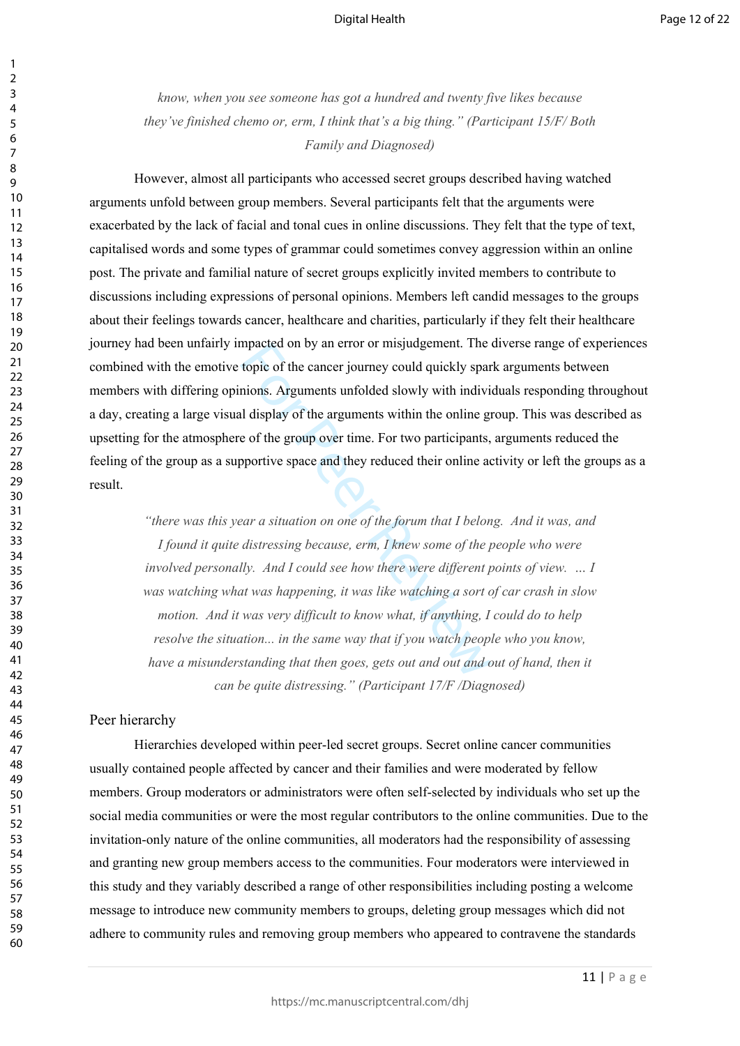*know, when you see someone has got a hundred and twenty five likes because they've finished chemo or, erm, I think that's a big thing." (Participant 15/F/ Both Family and Diagnosed)*

However, almost all participants who accessed secret groups described having watched arguments unfold between group members. Several participants felt that the arguments were exacerbated by the lack of facial and tonal cues in online discussions. They felt that the type of text, capitalised words and some types of grammar could sometimes convey aggression within an online post. The private and familial nature of secret groups explicitly invited members to contribute to discussions including expressions of personal opinions. Members left candid messages to the groups about their feelings towards cancer, healthcare and charities, particularly if they felt their healthcare journey had been unfairly impacted on by an error or misjudgement. The diverse range of experiences combined with the emotive topic of the cancer journey could quickly spark arguments between members with differing opinions. Arguments unfolded slowly with individuals responding throughout a day, creating a large visual display of the arguments within the online group. This was described as upsetting for the atmosphere of the group over time. For two participants, arguments reduced the feeling of the group as a supportive space and they reduced their online activity or left the groups as a result.

mpacted on by an error or misjudgement. The<br>topic of the cancer journey could quickly spar<br>nions. Arguments unfolded slowly with indivi<br>ul display of the arguments within the online gi<br>e of the group over time. For two par *"there was this year a situation on one of the forum that I belong. And it was, and I found it quite distressing because, erm, I knew some of the people who were involved personally. And I could see how there were different points of view. ... I was watching what was happening, it was like watching a sort of car crash in slow motion. And it was very difficult to know what, if anything, I could do to help resolve the situation... in the same way that if you watch people who you know,* have a misunderstanding that then goes, gets out and out and out of hand, then it *can be quite distressing." (Participant 17/F /Diagnosed)*

## Peer hierarchy

Hierarchies developed within peer-led secret groups. Secret online cancer communities usually contained people affected by cancer and their families and were moderated by fellow members. Group moderators or administrators were often self-selected by individuals who set up the social media communities or were the most regular contributors to the online communities. Due to the invitation-only nature of the online communities, all moderators had the responsibility of assessing and granting new group members access to the communities. Four moderators were interviewed in this study and they variably described a range of other responsibilities including posting a welcome message to introduce new community members to groups, deleting group messages which did not adhere to community rules and removing group members who appeared to contravene the standards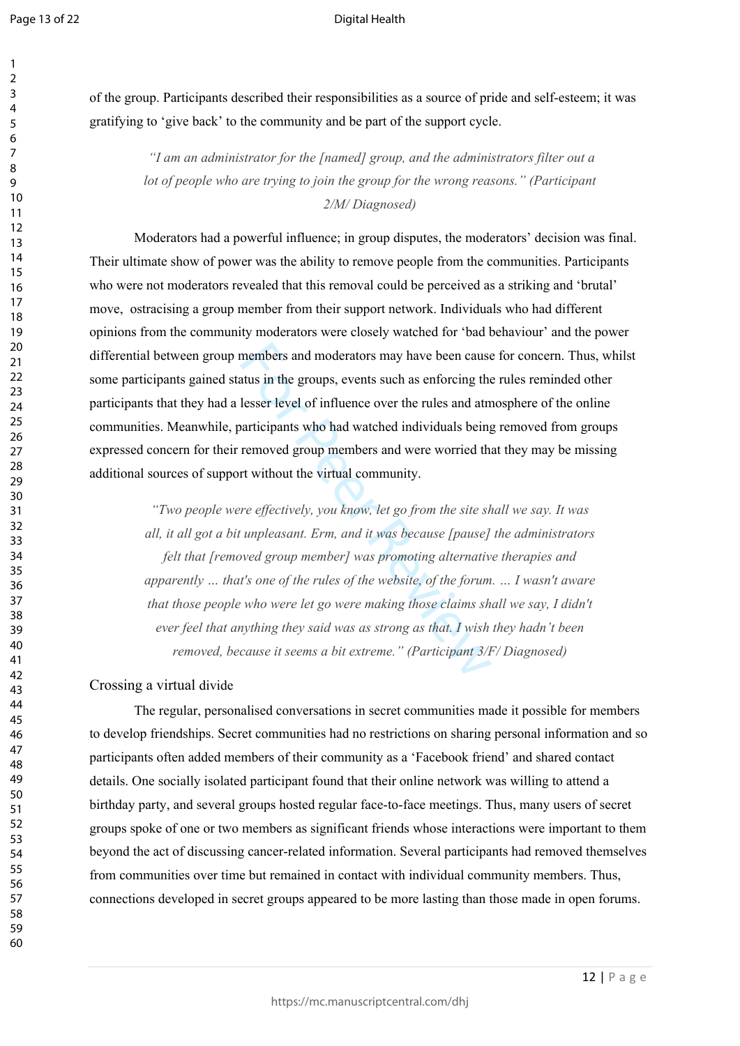$\mathbf{1}$  $\overline{2}$  $\overline{3}$  $\overline{4}$ 

#### Digital Health

of the group. Participants described their responsibilities as a source of pride and self-esteem; it was gratifying to 'give back' to the community and be part of the support cycle.

> *"I am an administrator for the [named] group, and the administrators filter out a lot of people who are trying to join the group for the wrong reasons." (Participant 2/M/ Diagnosed)*

Moderators had a powerful influence; in group disputes, the moderators' decision was final. Their ultimate show of power was the ability to remove people from the communities. Participants who were not moderators revealed that this removal could be perceived as a striking and 'brutal' move, ostracising a group member from their support network. Individuals who had different opinions from the community moderators were closely watched for 'bad behaviour' and the power differential between group members and moderators may have been cause for concern. Thus, whilst some participants gained status in the groups, events such as enforcing the rules reminded other participants that they had a lesser level of influence over the rules and atmosphere of the online communities. Meanwhile, participants who had watched individuals being removed from groups expressed concern for their removed group members and were worried that they may be missing additional sources of support without the virtual community.

members and moderators may have been cause<br>atus in the groups, events such as enforcing the<br>lesser level of influence over the rules and atm<br>articipants who had watched individuals being<br>removed group members and were worr *"Two people were effectively, you know, let go from the site shall we say. It was all, it all got a bit unpleasant. Erm, and it was because [pause] the administrators felt that [removed group member] was promoting alternative therapies and apparently … that's one of the rules of the website, of the forum. … I wasn't aware that those people who were let go were making those claims shall we say, I didn't ever feel that anything they said was as strong as that. I wish they hadn't been removed, because it seems a bit extreme." (Participant 3/F/ Diagnosed)*

## Crossing a virtual divide

The regular, personalised conversations in secret communities made it possible for members to develop friendships. Secret communities had no restrictions on sharing personal information and so participants often added members of their community as a 'Facebook friend' and shared contact details. One socially isolated participant found that their online network was willing to attend a birthday party, and several groups hosted regular face-to-face meetings. Thus, many users of secret groups spoke of one or two members as significant friends whose interactions were important to them beyond the act of discussing cancer-related information. Several participants had removed themselves from communities over time but remained in contact with individual community members. Thus, connections developed in secret groups appeared to be more lasting than those made in open forums.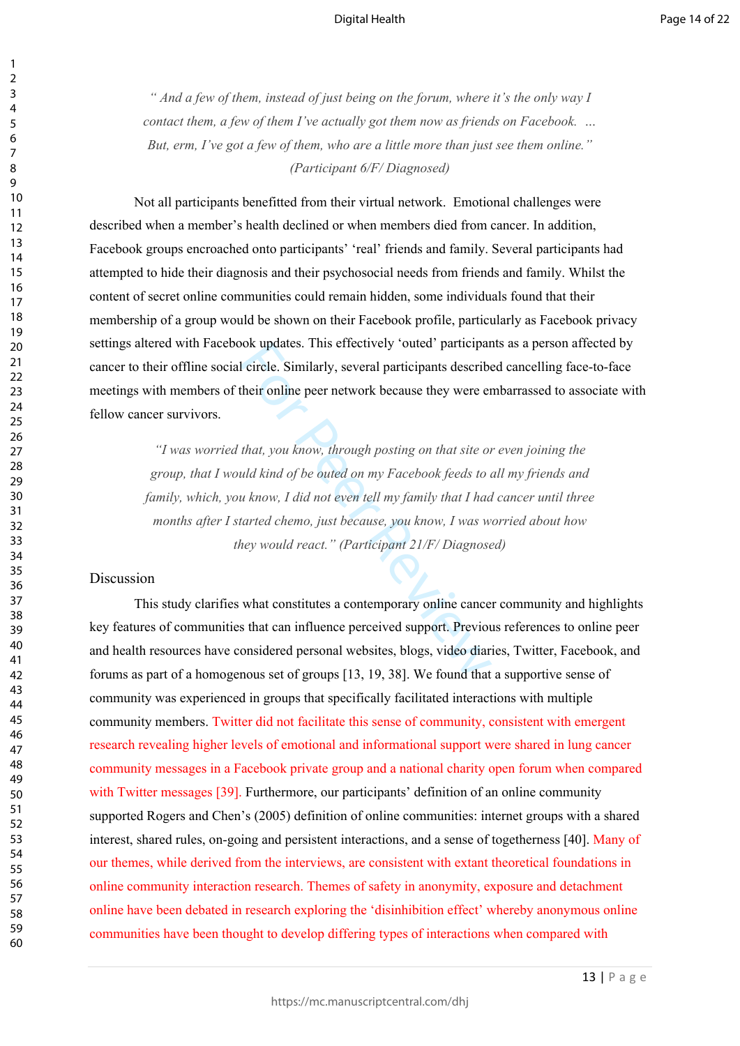*" And a few of them, instead of just being on the forum, where it's the only way I contact them, a few of them I've actually got them now as friends on Facebook. … But, erm, I've got a few of them, who are a little more than just see them online." (Participant 6/F/ Diagnosed)*

Not all participants benefitted from their virtual network. Emotional challenges were described when a member's health declined or when members died from cancer. In addition, Facebook groups encroached onto participants' 'real' friends and family. Several participants had attempted to hide their diagnosis and their psychosocial needs from friends and family. Whilst the content of secret online communities could remain hidden, some individuals found that their membership of a group would be shown on their Facebook profile, particularly as Facebook privacy settings altered with Facebook updates. This effectively 'outed' participants as a person affected by cancer to their offline social circle. Similarly, several participants described cancelling face-to-face meetings with members of their online peer network because they were embarrassed to associate with fellow cancer survivors.

For Product and Society outed participant<br>
1 circle. Similarly, several participants describe<br>
their online peer network because they were enterprise<br>
that, you know, through posting on that site of<br>
uld kind of be outed o *"I was worried that, you know, through posting on that site or even joining the group, that I would kind of be outed on my Facebook feeds to all my friends and family, which, you know, I did not even tell my family that I had cancer until three months after I started chemo, just because, you know, I was worried about how they would react." (Participant 21/F/ Diagnosed)* 

## Discussion

This study clarifies what constitutes a contemporary online cancer community and highlights key features of communities that can influence perceived support. Previous references to online peer and health resources have considered personal websites, blogs, video diaries, Twitter, Facebook, and forums as part of a homogenous set of groups [13, 19, 38]. We found that a supportive sense of community was experienced in groups that specifically facilitated interactions with multiple community members. Twitter did not facilitate this sense of community, consistent with emergent research revealing higher levels of emotional and informational support were shared in lung cancer community messages in a Facebook private group and a national charity open forum when compared with Twitter messages [39]. Furthermore, our participants' definition of an online community supported Rogers and Chen's (2005) definition of online communities: internet groups with a shared interest, shared rules, on-going and persistent interactions, and a sense of togetherness [40]. Many of our themes, while derived from the interviews, are consistent with extant theoretical foundations in online community interaction research. Themes of safety in anonymity, exposure and detachment online have been debated in research exploring the 'disinhibition effect' whereby anonymous online communities have been thought to develop differing types of interactions when compared with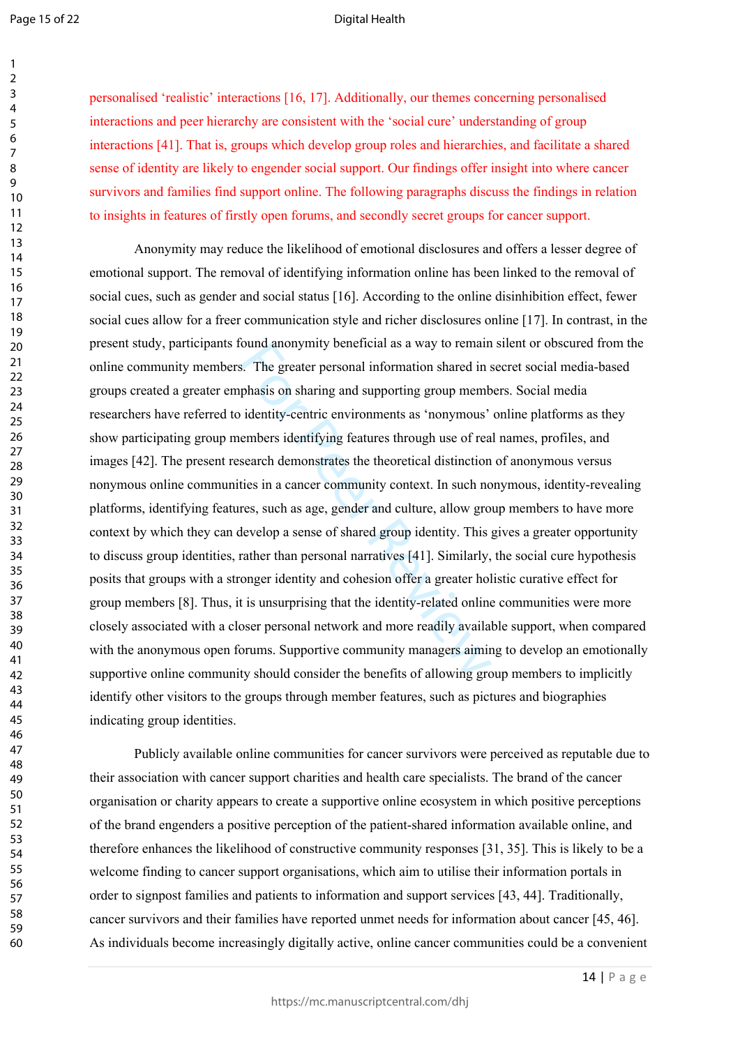123456789

 $\mathbf{1}$  $\overline{2}$  $\overline{3}$  $\overline{4}$ 5 6  $\overline{7}$ 8  $\mathsf{o}$ 

#### Digital Health

personalised 'realistic' interactions [16, 17]. Additionally, our themes concerning personalised interactions and peer hierarchy are consistent with the 'social cure' understanding of group interactions [41]. That is, groups which develop group roles and hierarchies, and facilitate a shared sense of identity are likely to engender social support. Our findings offer insight into where cancer survivors and families find support online. The following paragraphs discuss the findings in relation to insights in features of firstly open forums, and secondly secret groups for cancer support.

bound anonymity benencial as a way to remain<br>s. The greater personal information shared in s<br>phasis on sharing and supporting group memb<br>identity-centric environments as 'nonymous'<br>embers identifying features through use o Anonymity may reduce the likelihood of emotional disclosures and offers a lesser degree of emotional support. The removal of identifying information online has been linked to the removal of social cues, such as gender and social status [16]. According to the online disinhibition effect, fewer social cues allow for a freer communication style and richer disclosures online [17]. In contrast, in the present study, participants found anonymity beneficial as a way to remain silent or obscured from the online community members. The greater personal information shared in secret social media-based groups created a greater emphasis on sharing and supporting group members. Social media researchers have referred to identity-centric environments as 'nonymous' online platforms as they show participating group members identifying features through use of real names, profiles, and images [42]. The present research demonstrates the theoretical distinction of anonymous versus nonymous online communities in a cancer community context. In such nonymous, identity-revealing platforms, identifying features, such as age, gender and culture, allow group members to have more context by which they can develop a sense of shared group identity. This gives a greater opportunity to discuss group identities, rather than personal narratives [41]. Similarly, the social cure hypothesis posits that groups with a stronger identity and cohesion offer a greater holistic curative effect for group members [8]. Thus, it is unsurprising that the identity-related online communities were more closely associated with a closer personal network and more readily available support, when compared with the anonymous open forums. Supportive community managers aiming to develop an emotionally supportive online community should consider the benefits of allowing group members to implicitly identify other visitors to the groups through member features, such as pictures and biographies indicating group identities.

Publicly available online communities for cancer survivors were perceived as reputable due to their association with cancer support charities and health care specialists. The brand of the cancer organisation or charity appears to create a supportive online ecosystem in which positive perceptions of the brand engenders a positive perception of the patient-shared information available online, and therefore enhances the likelihood of constructive community responses [31, 35]. This is likely to be a welcome finding to cancer support organisations, which aim to utilise their information portals in order to signpost families and patients to information and support services [43, 44]. Traditionally, cancer survivors and their families have reported unmet needs for information about cancer [45, 46]. As individuals become increasingly digitally active, online cancer communities could be a convenient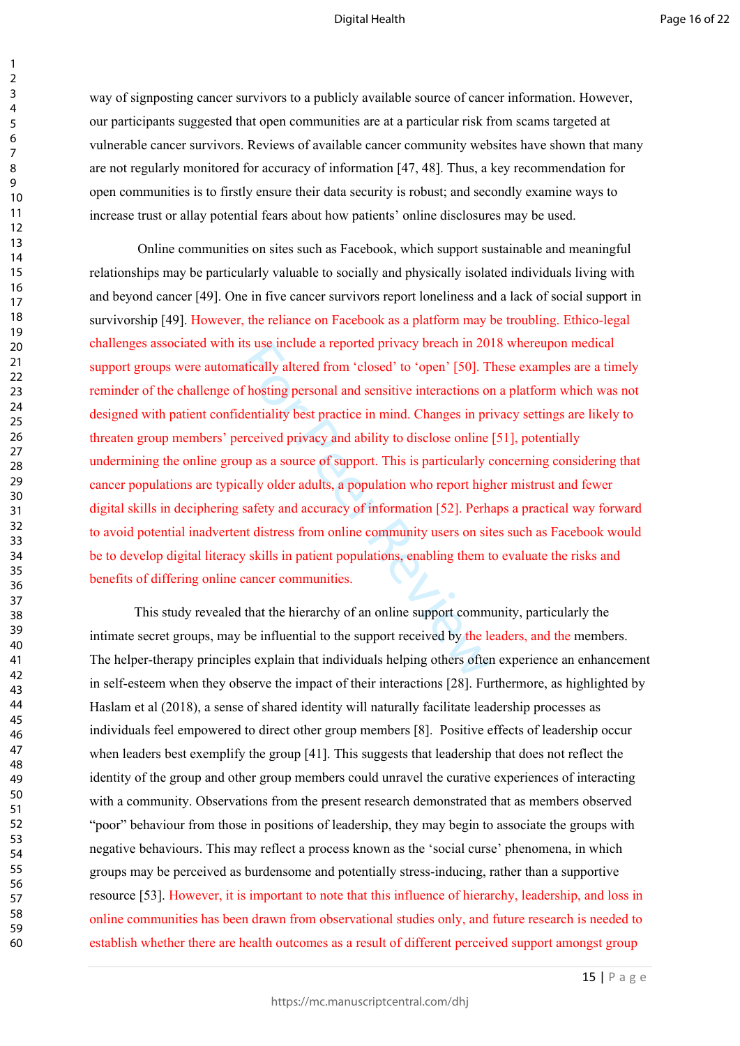way of signposting cancer survivors to a publicly available source of cancer information. However, our participants suggested that open communities are at a particular risk from scams targeted at vulnerable cancer survivors. Reviews of available cancer community websites have shown that many are not regularly monitored for accuracy of information [47, 48]. Thus, a key recommendation for open communities is to firstly ensure their data security is robust; and secondly examine ways to increase trust or allay potential fears about how patients' online disclosures may be used.

Its use include a reported privacy breach in 20<br>attically altered from 'closed' to 'open' [50]. T<br>f hosting personal and sensitive interactions of<br>dentiality best practice in mind. Changes in pri<br>preceived privacy and abil Online communities on sites such as Facebook, which support sustainable and meaningful relationships may be particularly valuable to socially and physically isolated individuals living with and beyond cancer [49]. One in five cancer survivors report loneliness and a lack of social support in survivorship [49]. However, the reliance on Facebook as a platform may be troubling. Ethico-legal challenges associated with its use include a reported privacy breach in 2018 whereupon medical support groups were automatically altered from 'closed' to 'open' [50]. These examples are a timely reminder of the challenge of hosting personal and sensitive interactions on a platform which was not designed with patient confidentiality best practice in mind. Changes in privacy settings are likely to threaten group members' perceived privacy and ability to disclose online [51], potentially undermining the online group as a source of support. This is particularly concerning considering that cancer populations are typically older adults, a population who report higher mistrust and fewer digital skills in deciphering safety and accuracy of information [52]. Perhaps a practical way forward to avoid potential inadvertent distress from online community users on sites such as Facebook would be to develop digital literacy skills in patient populations, enabling them to evaluate the risks and benefits of differing online cancer communities.

This study revealed that the hierarchy of an online support community, particularly the intimate secret groups, may be influential to the support received by the leaders, and the members. The helper-therapy principles explain that individuals helping others often experience an enhancement in self-esteem when they observe the impact of their interactions [28]. Furthermore, as highlighted by Haslam et al (2018), a sense of shared identity will naturally facilitate leadership processes as individuals feel empowered to direct other group members [8]. Positive effects of leadership occur when leaders best exemplify the group [41]. This suggests that leadership that does not reflect the identity of the group and other group members could unravel the curative experiences of interacting with a community. Observations from the present research demonstrated that as members observed "poor" behaviour from those in positions of leadership, they may begin to associate the groups with negative behaviours. This may reflect a process known as the 'social curse' phenomena, in which groups may be perceived as burdensome and potentially stress-inducing, rather than a supportive resource [53]. However, it is important to note that this influence of hierarchy, leadership, and loss in online communities has been drawn from observational studies only, and future research is needed to establish whether there are health outcomes as a result of different perceived support amongst group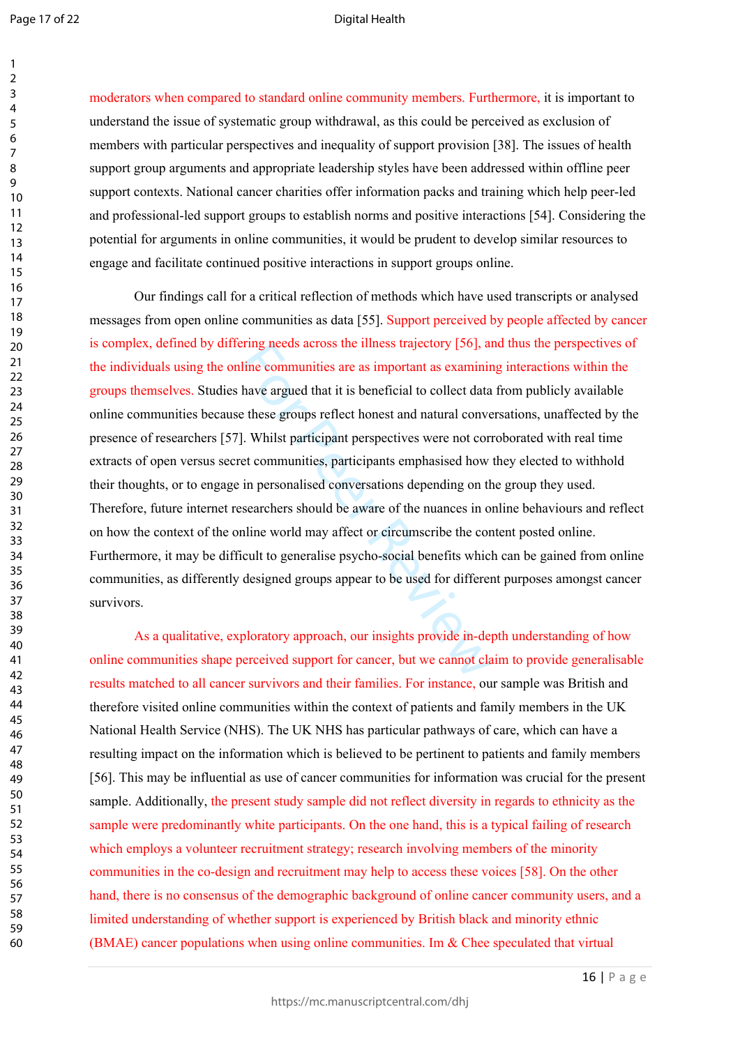$\mathbf{1}$ 

#### Digital Health

60

moderators when compared to standard online community members. Furthermore, it is important to understand the issue of systematic group withdrawal, as this could be perceived as exclusion of members with particular perspectives and inequality of support provision [38]. The issues of health support group arguments and appropriate leadership styles have been addressed within offline peer support contexts. National cancer charities offer information packs and training which help peer-led and professional-led support groups to establish norms and positive interactions [54]. Considering the potential for arguments in online communities, it would be prudent to develop similar resources to engage and facilitate continued positive interactions in support groups online.

Fing needs across the liness trajectory [56], at<br>line communities are as important as examinit<br>have argued that it is beneficial to collect data<br>e these groups reflect honest and natural conve<br>l. Whilst participant perspec Our findings call for a critical reflection of methods which have used transcripts or analysed messages from open online communities as data [55]. Support perceived by people affected by cancer is complex, defined by differing needs across the illness trajectory [56], and thus the perspectives of the individuals using the online communities are as important as examining interactions within the groups themselves. Studies have argued that it is beneficial to collect data from publicly available online communities because these groups reflect honest and natural conversations, unaffected by the presence of researchers [57]. Whilst participant perspectives were not corroborated with real time extracts of open versus secret communities, participants emphasised how they elected to withhold their thoughts, or to engage in personalised conversations depending on the group they used. Therefore, future internet researchers should be aware of the nuances in online behaviours and reflect on how the context of the online world may affect or circumscribe the content posted online. Furthermore, it may be difficult to generalise psycho-social benefits which can be gained from online communities, as differently designed groups appear to be used for different purposes amongst cancer survivors.

As a qualitative, exploratory approach, our insights provide in-depth understanding of how online communities shape perceived support for cancer, but we cannot claim to provide generalisable results matched to all cancer survivors and their families. For instance, our sample was British and therefore visited online communities within the context of patients and family members in the UK National Health Service (NHS). The UK NHS has particular pathways of care, which can have a resulting impact on the information which is believed to be pertinent to patients and family members [56]. This may be influential as use of cancer communities for information was crucial for the present sample. Additionally, the present study sample did not reflect diversity in regards to ethnicity as the sample were predominantly white participants. On the one hand, this is a typical failing of research which employs a volunteer recruitment strategy; research involving members of the minority communities in the co-design and recruitment may help to access these voices [58]. On the other hand, there is no consensus of the demographic background of online cancer community users, and a limited understanding of whether support is experienced by British black and minority ethnic (BMAE) cancer populations when using online communities. Im & Chee speculated that virtual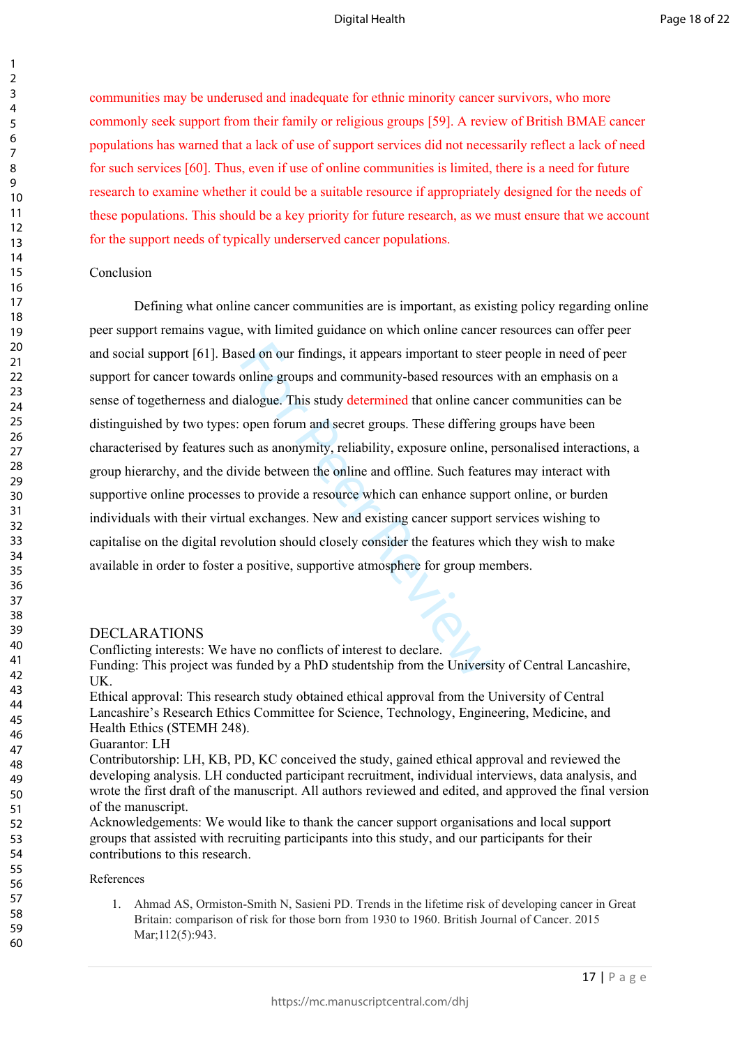communities may be underused and inadequate for ethnic minority cancer survivors, who more commonly seek support from their family or religious groups [59]. A review of British BMAE cancer populations has warned that a lack of use of support services did not necessarily reflect a lack of need for such services [60]. Thus, even if use of online communities is limited, there is a need for future research to examine whether it could be a suitable resource if appropriately designed for the needs of these populations. This should be a key priority for future research, as we must ensure that we account for the support needs of typically underserved cancer populations.

#### Conclusion

sed on our findings, it appears important to ste<br>conline groups and community-based resources<br>ialogue. This study determined that online can<br>open forum and secret groups. These differing<br>ch as anonymity, reliability, expos Defining what online cancer communities are is important, as existing policy regarding online peer support remains vague, with limited guidance on which online cancer resources can offer peer and social support [61]. Based on our findings, it appears important to steer people in need of peer support for cancer towards online groups and community-based resources with an emphasis on a sense of togetherness and dialogue. This study determined that online cancer communities can be distinguished by two types: open forum and secret groups. These differing groups have been characterised by features such as anonymity, reliability, exposure online, personalised interactions, a group hierarchy, and the divide between the online and offline. Such features may interact with supportive online processes to provide a resource which can enhance support online, or burden individuals with their virtual exchanges. New and existing cancer support services wishing to capitalise on the digital revolution should closely consider the features which they wish to make available in order to foster a positive, supportive atmosphere for group members.

#### DECLARATIONS

Conflicting interests: We have no conflicts of interest to declare.

Funding: This project was funded by a PhD studentship from the University of Central Lancashire, UK.

Ethical approval: This research study obtained ethical approval from the University of Central Lancashire's Research Ethics Committee for Science, Technology, Engineering, Medicine, and Health Ethics (STEMH 248).

#### Guarantor: LH

Contributorship: LH, KB, PD, KC conceived the study, gained ethical approval and reviewed the developing analysis. LH conducted participant recruitment, individual interviews, data analysis, and wrote the first draft of the manuscript. All authors reviewed and edited, and approved the final version of the manuscript.

Acknowledgements: We would like to thank the cancer support organisations and local support groups that assisted with recruiting participants into this study, and our participants for their contributions to this research.

#### References

1. Ahmad AS, Ormiston-Smith N, Sasieni PD. Trends in the lifetime risk of developing cancer in Great Britain: comparison of risk for those born from 1930 to 1960. British Journal of Cancer. 2015 Mar:112(5):943.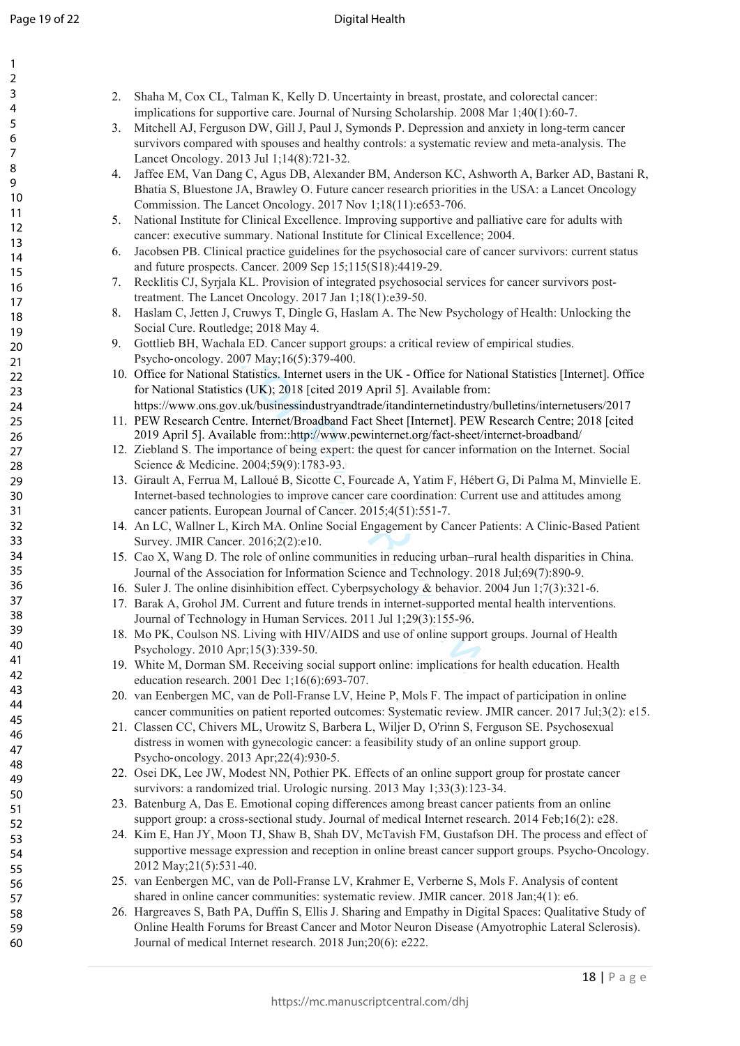| 1<br>2<br>3<br>4<br>5<br>6<br>8<br>9<br>10<br>11<br>$\overline{12}$<br>13<br>14<br>15<br>16<br>17<br>18<br>19<br>20<br>$\overline{21}$<br>$\overline{2}$<br>23<br>24<br>25<br>26<br>$^{27}$<br>28<br>29<br>30<br>$\overline{\textbf{3}}$ |  |
|------------------------------------------------------------------------------------------------------------------------------------------------------------------------------------------------------------------------------------------|--|
| $\overline{32}$<br>33<br>34<br>35<br>36<br>37<br>ξŔ<br>39<br>40<br>41<br>42<br>43<br>44<br>45<br>46<br>47                                                                                                                                |  |
| 48<br>49<br>50<br>51<br>52<br>53<br>54<br>55<br>56<br>57<br>58<br>59<br>60                                                                                                                                                               |  |

| 2. Shaha M, Cox CL, Talman K, Kelly D. Uncertainty in breast, prostate, and colorectal cancer: |
|------------------------------------------------------------------------------------------------|
| implications for supportive care. Journal of Nursing Scholarship. $2008$ Mar $1;40(1):60-7$ .  |

- 3. Mitchell AJ, Ferguson DW, Gill J, Paul J, Symonds P. Depression and anxiety in long-term cancer survivors compared with spouses and healthy controls: a systematic review and meta-analysis. The Lancet Oncology. 2013 Jul 1;14(8):721-32.
- 4. Jaffee EM, Van Dang C, Agus DB, Alexander BM, Anderson KC, Ashworth A, Barker AD, Bastani R, Bhatia S, Bluestone JA, Brawley O. Future cancer research priorities in the USA: a Lancet Oncology Commission. The Lancet Oncology. 2017 Nov 1;18(11):e653-706.
- 5. National Institute for Clinical Excellence. Improving supportive and palliative care for adults with cancer: executive summary. National Institute for Clinical Excellence; 2004.
- 6. Jacobsen PB. Clinical practice guidelines for the psychosocial care of cancer survivors: current status and future prospects. Cancer. 2009 Sep 15;115(S18):4419-29.
- 7. Recklitis CJ, Syrjala KL. Provision of integrated psychosocial services for cancer survivors posttreatment. The Lancet Oncology. 2017 Jan 1;18(1):e39-50.
- 8. Haslam C, Jetten J, Cruwys T, Dingle G, Haslam A. The New Psychology of Health: Unlocking the Social Cure. Routledge; 2018 May 4.
- 9. Gottlieb BH, Wachala ED. Cancer support groups: a critical review of empirical studies. Psycho ‐oncology. 2007 May;16(5):379-400.
- 10. Office for National Statistics. Internet users in the UK Office for National Statistics [Internet]. Office for National Statistics (UK); 2018 [cited 2019 April 5]. Available from:
- https://www.ons.gov.uk/businessindustryandtrade/itandinternetindustry/bulletins/internetusers/2017 11. PEW Research Centre. Internet/Broadband Fact Sheet [Internet]. PEW Research Centre; 2018 [cited 2019 April 5]. Available from::http://www.pewinternet.org/fact-sheet/internet-broadband/
- 12. Ziebland S. The importance of being expert: the quest for cancer information on the Internet. Social Science & Medicine. 2004;59(9):1783-93.
- a ED. Cancer support groups: a critical review of e<br>
07 May;16(5):379-400.<br>
tatistics. Internet users in the UK Office for Natio<br>
is (UK); 2018 [cited 2019 April 5]. Available from:<br>
uk/businessindustryandtrade/itandint 13. Girault A, Ferrua M, Lalloué B, Sicotte C, Fourcade A, Yatim F, Hébert G, Di Palma M, Minvielle E. Internet-based technologies to improve cancer care coordination: Current use and attitudes among cancer patients. European Journal of Cancer. 2015;4(51):551-7.
- 14. An LC, Wallner L, Kirch MA. Online Social Engagement by Cancer Patients: A Clinic-Based Patient Survey. JMIR Cancer. 2016;2(2):e10.
- 15. Cao X, Wang D. The role of online communities in reducing urban–rural health disparities in China. Journal of the Association for Information Science and Technology. 2018 Jul;69(7):890-9.
- 16. Suler J. The online disinhibition effect. Cyberpsychology & behavior. 2004 Jun 1;7(3):321-6.
- 17. Barak A, Grohol JM. Current and future trends in internet-supported mental health interventions. Journal of Technology in Human Services. 2011 Jul 1;29(3):155-96.
- 18. Mo PK, Coulson NS. Living with HIV/AIDS and use of online support groups. Journal of Health Psychology. 2010 Apr;15(3):339-50.
- 19. White M, Dorman SM. Receiving social support online: implications for health education. Health education research. 2001 Dec 1;16(6):693-707.
- 20. van Eenbergen MC, van de Poll-Franse LV, Heine P, Mols F. The impact of participation in online cancer communities on patient reported outcomes: Systematic review. JMIR cancer. 2017 Jul;3(2): e15.
- 21. Classen CC, Chivers ML, Urowitz S, Barbera L, Wiljer D, O'rinn S, Ferguson SE. Psychosexual distress in women with gynecologic cancer: a feasibility study of an online support group. Psycho ‐oncology. 2013 Apr;22(4):930-5.
- 22. Osei DK, Lee JW, Modest NN, Pothier PK. Effects of an online support group for prostate cancer survivors: a randomized trial. Urologic nursing. 2013 May 1;33(3):123-34.
- 23. Batenburg A, Das E. Emotional coping differences among breast cancer patients from an online support group: a cross-sectional study. Journal of medical Internet research. 2014 Feb;16(2): e28.
- 24. Kim E, Han JY, Moon TJ, Shaw B, Shah DV, McTavish FM, Gustafson DH. The process and effect of supportive message expression and reception in online breast cancer support groups. Psycho-Oncology. 2012 May;21(5):531-40.
- 25. van Eenbergen MC, van de Poll-Franse LV, Krahmer E, Verberne S, Mols F. Analysis of content shared in online cancer communities: systematic review. JMIR cancer. 2018 Jan;4(1): e6.
- 26. Hargreaves S, Bath PA, Duffin S, Ellis J. Sharing and Empathy in Digital Spaces: Qualitative Study of Online Health Forums for Breast Cancer and Motor Neuron Disease (Amyotrophic Lateral Sclerosis). Journal of medical Internet research. 2018 Jun;20(6): e222.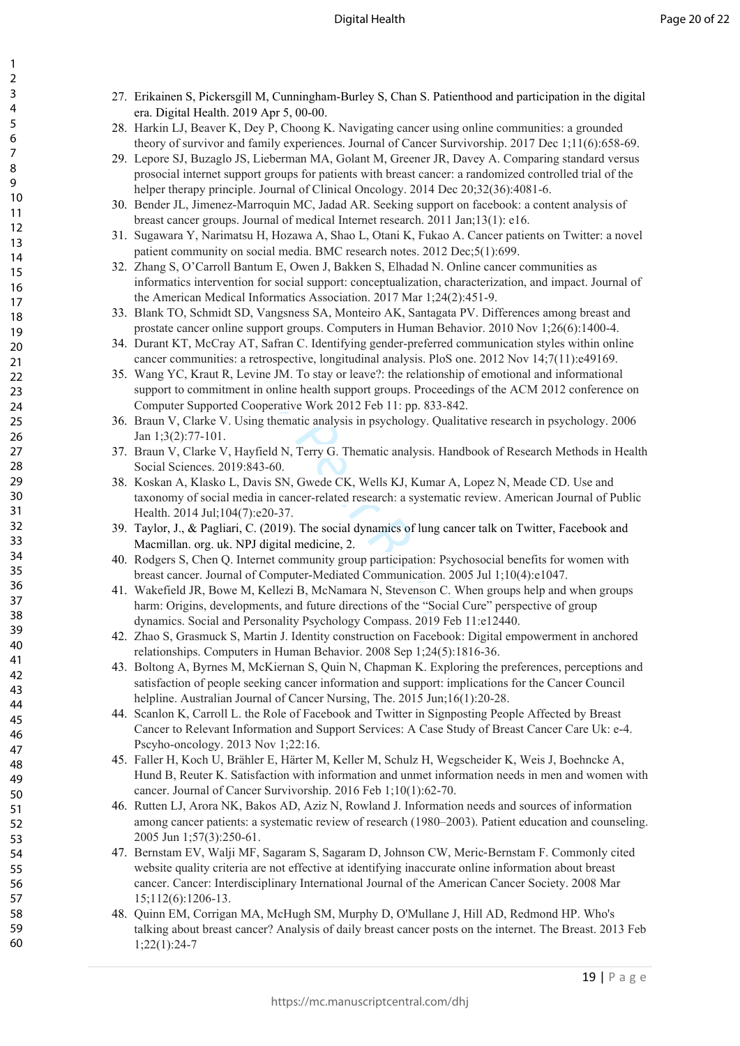- 27. Erikainen S, Pickersgill M, Cunningham-Burley S, Chan S. Patienthood and participation in the digital era. Digital Health. 2019 Apr 5, 00-00.
- 28. Harkin LJ, Beaver K, Dey P, Choong K. Navigating cancer using online communities: a grounded theory of survivor and family experiences. Journal of Cancer Survivorship. 2017 Dec 1;11(6):658-69.
- 29. Lepore SJ, Buzaglo JS, Lieberman MA, Golant M, Greener JR, Davey A. Comparing standard versus prosocial internet support groups for patients with breast cancer: a randomized controlled trial of the helper therapy principle. Journal of Clinical Oncology. 2014 Dec 20;32(36):4081-6.
- 30. Bender JL, Jimenez-Marroquin MC, Jadad AR. Seeking support on facebook: a content analysis of breast cancer groups. Journal of medical Internet research. 2011 Jan;13(1): e16.
- 31. Sugawara Y, Narimatsu H, Hozawa A, Shao L, Otani K, Fukao A. Cancer patients on Twitter: a novel patient community on social media. BMC research notes. 2012 Dec;5(1):699.
- 32. Zhang S, O'Carroll Bantum E, Owen J, Bakken S, Elhadad N. Online cancer communities as informatics intervention for social support: conceptualization, characterization, and impact. Journal of the American Medical Informatics Association. 2017 Mar 1;24(2):451-9.
- 33. Blank TO, Schmidt SD, Vangsness SA, Monteiro AK, Santagata PV. Differences among breast and prostate cancer online support groups. Computers in Human Behavior. 2010 Nov 1;26(6):1400-4.
- 34. Durant KT, McCray AT, Safran C. Identifying gender-preferred communication styles within online cancer communities: a retrospective, longitudinal analysis. PloS one. 2012 Nov 14;7(11):e49169.
- A I, Sarran C. Identitying gender-preterred commula retrospective, longitudinal analysis. PloS one. 20 Levine JM. To stay or leave?: the relationship of enert in online health support groups. Proceedings of Cooperative Wor 35. Wang YC, Kraut R, Levine JM. To stay or leave?: the relationship of emotional and informational support to commitment in online health support groups. Proceedings of the ACM 2012 conference on Computer Supported Cooperative Work 2012 Feb 11: pp. 833-842.
- 36. Braun V, Clarke V. Using thematic analysis in psychology. Qualitative research in psychology. 2006 Jan 1;3(2):77-101.
- 37. Braun V, Clarke V, Hayfield N, Terry G. Thematic analysis. Handbook of Research Methods in Health Social Sciences. 2019:843-60.
- 38. Koskan A, Klasko L, Davis SN, Gwede CK, Wells KJ, Kumar A, Lopez N, Meade CD. Use and taxonomy of social media in cancer-related research: a systematic review. American Journal of Public Health. 2014 Jul;104(7):e20-37.
- 39. Taylor, J., & Pagliari, C. (2019). The social dynamics of lung cancer talk on Twitter, Facebook and Macmillan. org. uk. NPJ digital medicine, 2.
- 40. Rodgers S, Chen Q. Internet community group participation: Psychosocial benefits for women with breast cancer. Journal of Computer-Mediated Communication. 2005 Jul 1;10(4):e1047.
- 41. Wakefield JR, Bowe M, Kellezi B, McNamara N, Stevenson C. When groups help and when groups harm: Origins, developments, and future directions of the "Social Cure" perspective of group dynamics. Social and Personality Psychology Compass. 2019 Feb 11:e12440.
- 42. Zhao S, Grasmuck S, Martin J. Identity construction on Facebook: Digital empowerment in anchored relationships. Computers in Human Behavior. 2008 Sep 1;24(5):1816-36.
- 43. Boltong A, Byrnes M, McKiernan S, Quin N, Chapman K. Exploring the preferences, perceptions and satisfaction of people seeking cancer information and support: implications for the Cancer Council helpline. Australian Journal of Cancer Nursing, The. 2015 Jun;16(1):20-28.
- 44. Scanlon K, Carroll L. the Role of Facebook and Twitter in Signposting People Affected by Breast Cancer to Relevant Information and Support Services: A Case Study of Breast Cancer Care Uk: e-4. Pscyho-oncology. 2013 Nov 1;22:16.
- 45. Faller H, Koch U, Brähler E, Härter M, Keller M, Schulz H, Wegscheider K, Weis J, Boehncke A, Hund B, Reuter K. Satisfaction with information and unmet information needs in men and women with cancer. Journal of Cancer Survivorship. 2016 Feb 1;10(1):62-70.
- 46. Rutten LJ, Arora NK, Bakos AD, Aziz N, Rowland J. Information needs and sources of information among cancer patients: a systematic review of research (1980–2003). Patient education and counseling. 2005 Jun 1;57(3):250-61.
- 47. Bernstam EV, Walji MF, Sagaram S, Sagaram D, Johnson CW, Meric‐Bernstam F. Commonly cited website quality criteria are not effective at identifying inaccurate online information about breast cancer. Cancer: Interdisciplinary International Journal of the American Cancer Society. 2008 Mar 15;112(6):1206-13.
- 48. Quinn EM, Corrigan MA, McHugh SM, Murphy D, O'Mullane J, Hill AD, Redmond HP. Who's talking about breast cancer? Analysis of daily breast cancer posts on the internet. The Breast. 2013 Feb 1;22(1):24-7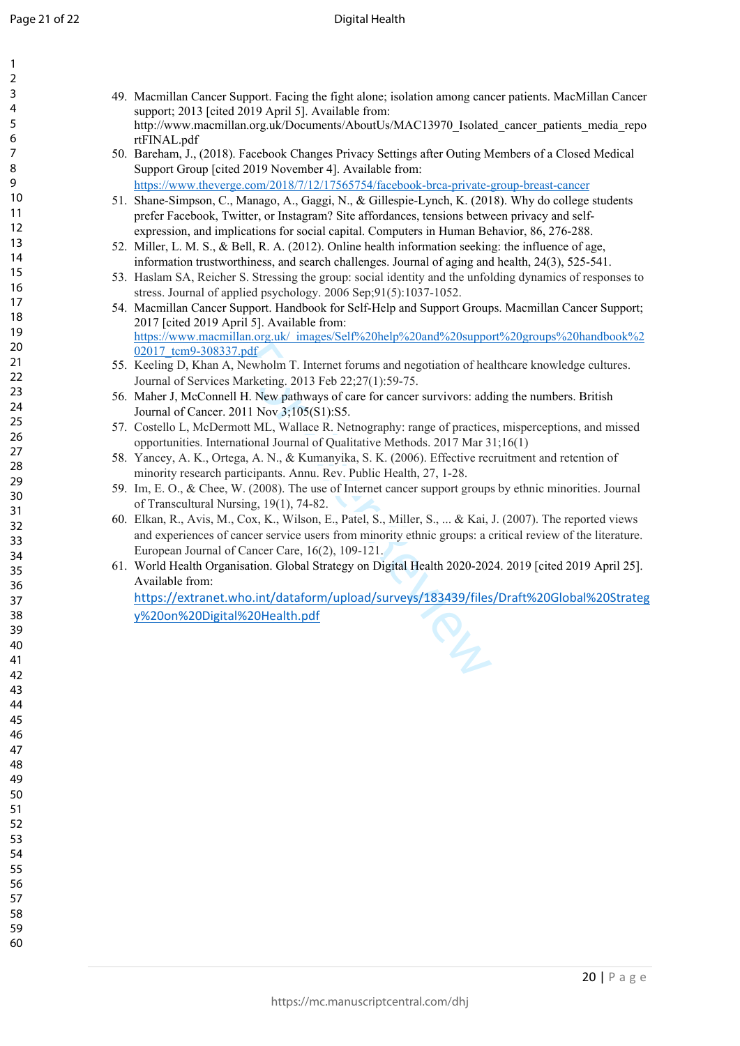$\mathbf{1}$ 

| 1                 |  |
|-------------------|--|
| $\overline{c}$    |  |
| 3                 |  |
| 4<br>5            |  |
| 6                 |  |
|                   |  |
| 8                 |  |
| 9                 |  |
| 10                |  |
| 1<br>$\mathbf{1}$ |  |
| $\overline{12}$   |  |
| $\overline{13}$   |  |
| 4<br>1            |  |
| 15                |  |
| 16                |  |
| $\frac{17}{1}$    |  |
| 18                |  |
| 19                |  |
| 20                |  |
| $\overline{21}$   |  |
| $\overline{22}$   |  |
| $^{23}$           |  |
| 24                |  |
| 25                |  |
| 26<br>$^{27}$     |  |
| 28                |  |
| 29                |  |
| 30                |  |
| $\overline{31}$   |  |
| $\overline{32}$   |  |
| 33                |  |
| 34                |  |
| 35                |  |
| 36                |  |
| 37                |  |
| 38                |  |
| 39                |  |
| 40                |  |
| 41                |  |
| 42                |  |
| 43                |  |
| 44                |  |
| 45                |  |
| 46<br>47          |  |
| 48                |  |
| 49                |  |
| 50                |  |
| 51                |  |
| 52                |  |
| 53                |  |
| 54                |  |
| 55                |  |
| 56                |  |
| 57                |  |
| 58                |  |
| 59                |  |
| 60                |  |

- 49. Macmillan Cancer Support. Facing the fight alone; isolation among cancer patients. MacMillan Cancer support; 2013 [cited 2019 April 5]. Available from: http://www.macmillan.org.uk/Documents/AboutUs/MAC13970\_Isolated\_cancer\_patients\_media\_repo rtFINAL.pdf
	- 50. Bareham, J., (2018). Facebook Changes Privacy Settings after Outing Members of a Closed Medical Support Group [cited 2019 November 4]. Available from: <https://www.theverge.com/2018/7/12/17565754/facebook-brca-private-group-breast-cancer>
- 51. Shane-Simpson, C., Manago, A., Gaggi, N., & Gillespie-Lynch, K. (2018). Why do college students prefer Facebook, Twitter, or Instagram? Site affordances, tensions between privacy and selfexpression, and implications for social capital. Computers in Human Behavior, 86, 276-288.
- 52. Miller, L. M. S., & Bell, R. A. (2012). Online health information seeking: the influence of age, information trustworthiness, and search challenges. Journal of aging and health, 24(3), 525-541.
- 53. Haslam SA, Reicher S. Stressing the group: social identity and the unfolding dynamics of responses to stress. Journal of applied psychology. 2006 Sep;91(5):1037-1052.
- 54. Macmillan Cancer Support. Handbook for Self-Help and Support Groups. Macmillan Cancer Support; 2017 [cited 2019 April 5]. Available from: https://www.macmillan.org.uk/\_images/Self%20help%20and%20support%20groups%20handbook%2 02017\_tcm9-308337.pdf
- 55. Keeling D, Khan A, Newholm T. Internet forums and negotiation of healthcare knowledge cultures. Journal of Services Marketing. 2013 Feb 22;27(1):59-75.
- 56. Maher J, McConnell H. New pathways of care for cancer survivors: adding the numbers. British Journal of Cancer. 2011 Nov 3;105(S1):S5.
- 57. Costello L, McDermott ML, Wallace R. Netnography: range of practices, misperceptions, and missed opportunities. International Journal of Qualitative Methods. 2017 Mar 31;16(1)
- 58. Yancey, A. K., Ortega, A. N., & Kumanyika, S. K. (2006). Effective recruitment and retention of minority research participants. Annu. Rev. Public Health, 27, 1-28.
- 59. Im, E. O., & Chee, W. (2008). The use of Internet cancer support groups by ethnic minorities. Journal of Transcultural Nursing, 19(1), 74-82.
- pdf<br>
Newholm T. Internet forums and negotiation of hea<br>
flarketing. 2013 Feb 22;27(1):59-75.<br>
H. New pathways of care for cancer survivors: add<br>
111 Nov 3;105(S1):S5.<br>
bott ML, Wallace R. Netnography: range of practice<br>
ti 60. Elkan, R., Avis, M., Cox, K., Wilson, E., Patel, S., Miller, S., ... & Kai, J. (2007). The reported views and experiences of cancer service users from minority ethnic groups: a critical review of the literature. European Journal of Cancer Care, 16(2), 109-121.
- 61. World Health Organisation. Global Strategy on Digital Health 2020-2024. 2019 [cited 2019 April 25]. Available from:

[https://extranet.who.int/dataform/upload/surveys/183439/files/Draft%20Global%20Strateg](https://extranet.who.int/dataform/upload/surveys/183439/files/Draft%20Global%20Strategy%20on%20Digital%20Health.pdf) [y%20on%20Digital%20Health.pdf](https://extranet.who.int/dataform/upload/surveys/183439/files/Draft%20Global%20Strategy%20on%20Digital%20Health.pdf)

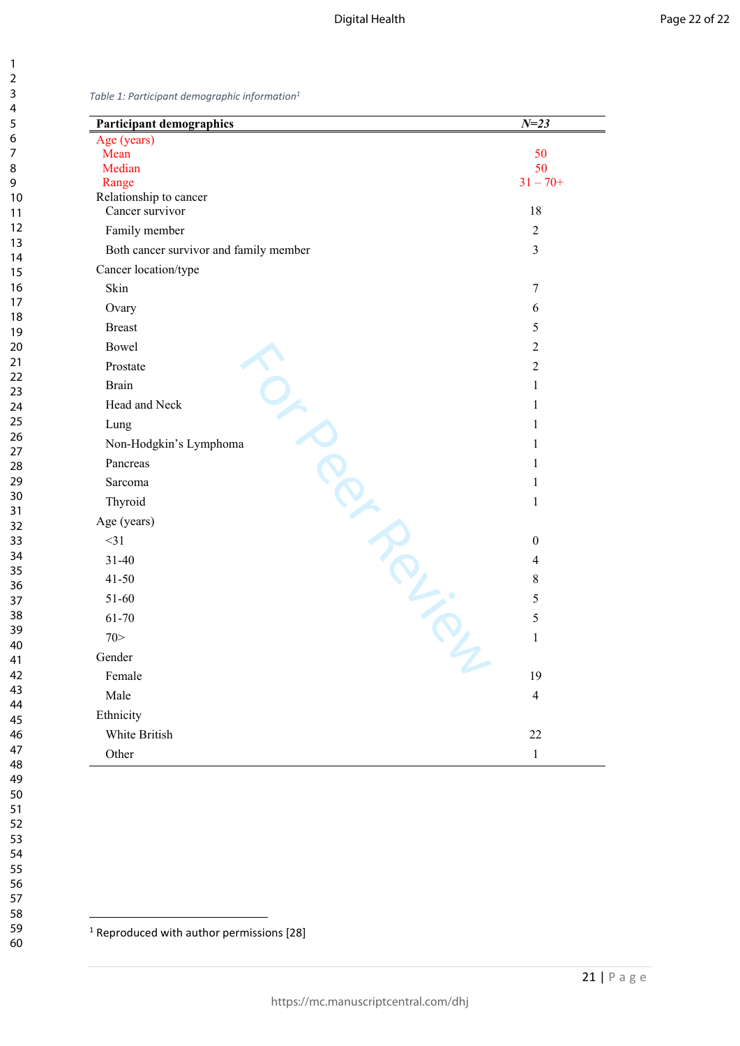<span id="page-22-0"></span>*Table 1: Participant demographic information<sup>1</sup>*

| <b>Participant demographics</b>        | $N = 23$       |
|----------------------------------------|----------------|
| Age (years)                            |                |
| Mean<br>Median                         | 50<br>50       |
| Range                                  | $31 - 70+$     |
| Relationship to cancer                 |                |
| Cancer survivor                        | 18             |
| Family member                          | $\overline{2}$ |
| Both cancer survivor and family member | $\overline{3}$ |
| Cancer location/type                   |                |
| Skin                                   | 7              |
| Ovary                                  | 6              |
| <b>Breast</b>                          | 5              |
| Bowel                                  | $\overline{2}$ |
| Prostate                               | $\overline{2}$ |
| <b>Brain</b>                           | $\mathbf{1}$   |
| Head and Neck                          | $\mathbf{1}$   |
| Lung                                   | $\mathbf{1}$   |
| Non-Hodgkin's Lymphoma                 | $\mathbf{1}$   |
| Pancreas                               | $\mathbf{1}$   |
| Sarcoma                                | $\mathbf{1}$   |
| Thyroid                                | $\mathbf{1}$   |
| Age (years)                            |                |
| $<$ 31                                 | $\mathbf{0}$   |
| $31 - 40$                              | $\overline{4}$ |
| $41 - 50$                              | 8              |
| Roil ive<br>51-60                      | 5              |
| 61-70                                  | 5              |
| 70 >                                   | $\mathbf{1}$   |
| Gender                                 |                |
| Female                                 | 19             |
| Male                                   | $\overline{4}$ |
| Ethnicity                              |                |
| White British                          | 22             |
| Other                                  | $\mathbf{1}$   |

<sup>1</sup> Reproduced with author permissions [28]

60